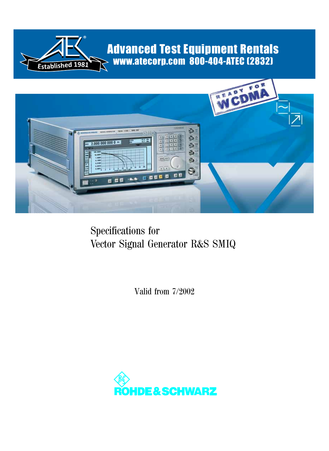

# Advanced Test Equipment Rentals www.atecorp.com 800-404-ATEC (2832)



# Specifications for Vector Signal Generator R&S SMIQ

Valid from 7/2002

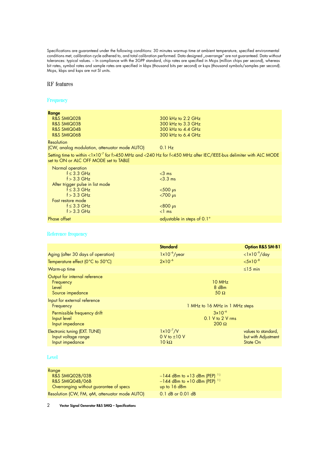Specifications are guaranteed under the following conditions: 30 minutes warmup time at ambient temperature, specified environmental conditions met, calibration cycle adhered to, and total calibration performed. Data designed "overrange" are not guaranteed. Data without tolerances: typical values. – In compliance with the 3GPP standard, chip rates are specified in Mcps (million chips per second), whereas bit rates, symbol rates and sample rates are specified in kbps (thousand bits per second) or ksps (thousand symbols/samples per second). Mcps, kbps and ksps are not SI units.

## RF features

#### **Frequency**

| Range<br>R&S SMIQ02B<br><b>R&amp;S SMIQ03B</b><br><b>R&amp;S SMIQ04B</b><br>R&S SMIQ06B                                                                                                  | 300 kHz to 2.2 GHz<br>300 kHz to 3.3 GHz<br>300 kHz to 4.4 GHz<br>300 kHz to 6.4 GHz                                          |
|------------------------------------------------------------------------------------------------------------------------------------------------------------------------------------------|-------------------------------------------------------------------------------------------------------------------------------|
| Resolution<br>(CW, analog modulation, attenuator mode AUTO) 0.1 Hz                                                                                                                       |                                                                                                                               |
| set to ON or ALC OFF MODE set to TABLE                                                                                                                                                   | Setting time to within <1x10 <sup>-7</sup> for f>450 MHz and <240 Hz for f<450 MHz after IEC/IEEE-bus delimiter with ALC MODE |
| Normal operation<br>$f \leq 3.3$ GHz<br>$f > 3.3$ GHz<br>After trigger pulse in list mode<br>$f \leq 3.3$ GHz<br>$f > 3.3$ GHz<br>Fast restore mode<br>$f \leq 3.3$ GHz<br>$f > 3.3$ GHz | $<$ 3 ms<br>$<$ 3.3 ms<br>$<$ 500 µs<br>$<$ 700 µs<br>$< 800$ µs<br>$\leq$ ms                                                 |
| Phase offset                                                                                                                                                                             | adjustable in steps of 0.1°                                                                                                   |

#### Reference frequency

|                                                                         | <b>Standard</b>                                        | <b>Option R&amp;S SM-B1</b>                            |
|-------------------------------------------------------------------------|--------------------------------------------------------|--------------------------------------------------------|
| Aging (after 30 days of operation)                                      | $1 \times 10^{-6}$ /year                               | $\langle 1x10^{-9}/day$                                |
| Temperature effect (0°C to 50°C)                                        | $2x10^{-6}$                                            | $< 5 \times 10^{-8}$                                   |
| Warm-up time                                                            |                                                        | $\leq$ 15 min                                          |
| Output for internal reference<br>Frequency<br>Level<br>Source impedance | 10 MHz<br>8 dBm<br>50 $\Omega$                         |                                                        |
| Input for external reference<br>Frequency                               | 1 MHz to 16 MHz in 1 MHz steps                         |                                                        |
| Permissible frequency drift<br>Input level<br>Input impedance           | $3x10^{-6}$<br>$0.1$ V to 2 V rms<br>$200 \Omega$      |                                                        |
| Electronic tuning (EXT. TUNE)<br>Input voltage range<br>Input impedance | $1 \times 10^{-7} / V$<br>0 V to ±10 V<br>$10 k\Omega$ | values to standard,<br>but with Adjustment<br>State On |

## Level

| Range                                         |                                           |
|-----------------------------------------------|-------------------------------------------|
| <b>R&amp;S SMIQ02B/03B</b>                    | $-144$ dBm to +13 dBm (PEP) <sup>1)</sup> |
| R&S SMIQ04B/06B                               | $-144$ dBm to +10 dBm (PEP) <sup>1)</sup> |
| Overranging without guarantee of specs        | up to $16$ dBm                            |
| Resolution (CW, FM, oM, attenuator mode AUTO) | 0.1 dB or 0.01 dB                         |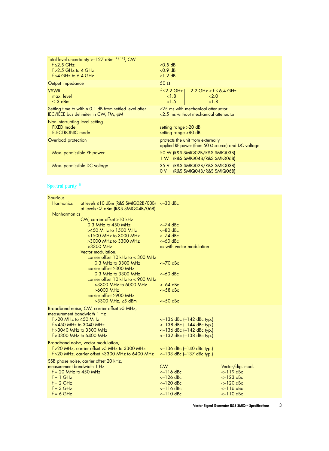| Total level uncertainty > - 127 dBm <sup>2) 12</sup> ), CW<br>$f \leq 2.5$ GHz<br>$f > 2.5$ GHz to 4 GHz<br>$f > 4$ GHz to 6.4 GHz | $<$ 0.5 dB<br>$<$ 0.9 dB<br>$<1.2$ dB                                                          |
|------------------------------------------------------------------------------------------------------------------------------------|------------------------------------------------------------------------------------------------|
| Output impedance                                                                                                                   | $50 \Omega$                                                                                    |
| <b>VSWR</b><br>max. level<br>$\leq -3$ dBm                                                                                         | $f \leq 2.2$ GHz<br>2.2 GHz $<$ f $\leq$ 6.4 GHz<br>< 1.8<br>2.0<br>< 1.5<br>< 1.8             |
| Setting time to within 0.1 dB from settled level after<br>IEC/IEEE bus delimiter in CW, FM, oM                                     | $<$ 25 ms with mechanical attenuator<br>$\leq$ 2.5 ms without mechanical attenuator            |
| Non-interrupting level setting<br><b>FIXED</b> mode<br><b>ELECTRONIC mode</b>                                                      | setting range $>20$ dB<br>setting range >80 dB                                                 |
| Overload protection                                                                                                                | protects the unit from externally<br>applied RF power (from 50 $\Omega$ source) and DC voltage |
| Max. permissible RF power                                                                                                          | 50 W (R&S SMIQ02B/R&S SMIQ03B)<br>1 W (R&S SMIQ04B/R&S SMIQ06B)                                |
| Max. permissible DC voltage                                                                                                        | 35 V (R&S SMIQ02B/R&S SMIQ03B)<br>(R&S SMIQ04B/R&S SMIQ06B)<br>0 V                             |

# Spectral purity  $^{\rm 2)}$

| Spurious<br><b>Harmonics</b> | $at$ levels $\leq$ 10 dBm (R&S SMIQ02B/03B) $\leq$ -30 dBc                            |                                                                       |                            |
|------------------------------|---------------------------------------------------------------------------------------|-----------------------------------------------------------------------|----------------------------|
|                              | at levels ≤7 dBm (R&S SMIQ04B/06B)                                                    |                                                                       |                            |
| Nonharmonics                 | CW, carrier offset >10 kHz                                                            |                                                                       |                            |
|                              | $0.3$ MHz to $450$ MHz                                                                | $<-74$ dBc                                                            |                            |
|                              | $>450$ MHz to 1500 MHz                                                                | $<-80$ dBc                                                            |                            |
|                              | $>1500$ MHz to 3000 MHz                                                               | $<-74$ dBc                                                            |                            |
|                              | $>3000$ MHz to 3300 MHz<br>>3300 MHz                                                  | $<-60$ dBc<br>as with vector modulation                               |                            |
|                              | Vector modulation,                                                                    |                                                                       |                            |
|                              | carrier offset $10$ kHz to $<$ 300 MHz                                                |                                                                       |                            |
|                              | 0.3 MHz to 3300 MHz                                                                   | $<-70$ dBc                                                            |                            |
|                              | carrier offset $\geq$ 300 MHz<br>0.3 MHz to 3300 MHz                                  | $<-60$ dBc                                                            |                            |
|                              | carrier offset 10 kHz to $<$ 900 MHz                                                  |                                                                       |                            |
|                              | $>3300$ MHz to 6000 MHz                                                               | $<-64$ dBc                                                            |                            |
|                              | $>6000$ MHz                                                                           | $<-58$ dBc                                                            |                            |
|                              | carrier offset $\geq$ 900 MHz<br>$>3300$ MHz, $\geq 5$ dBm                            | $<-50$ dBc                                                            |                            |
|                              |                                                                                       |                                                                       |                            |
|                              | Broadband noise, CW, carrier offset >5 MHz,<br>measurement bandwidth 1 Hz             |                                                                       |                            |
| $f > 20$ MHz to 450 MHz      |                                                                                       | $\leftarrow$ 136 dBc (-142 dBc typ.)                                  |                            |
|                              | $f > 450$ MHz to 3040 MHz                                                             | $\leftarrow$ 138 dBc (-144 dBc typ.)                                  |                            |
|                              | $f > 3040$ MHz to 3300 MHz                                                            | $<-136$ dBc $(-142$ dBc typ.)                                         |                            |
|                              | $f > 3300$ MHz to 6400 MHz                                                            | $<-132$ dBc $(-138$ dBc typ.)                                         |                            |
|                              | Broadband noise, vector modulation,<br>f > 20 MHz, carrier offset > 5 MHz to 3300 MHz |                                                                       |                            |
|                              | f >20 MHz, carrier offset >3300 MHz to 6400 MHz                                       | $\leftarrow$ 136 dBc (-140 dBc typ.)<br>$<-133$ dBc $(-137$ dBc typ.) |                            |
|                              | SSB phase noise, carrier offset 20 kHz,                                               |                                                                       |                            |
|                              | measurement bandwidth 1 Hz                                                            | <b>CW</b>                                                             | Vector/dig. mod.           |
|                              | $f = 20$ MHz to 450 MHz                                                               | $<-116$ dBc                                                           | $<-119$ dBc                |
| $f = 1$ GHz<br>$f = 2 GHz$   |                                                                                       | $<-126$ dBc<br>$<-120$ dBc                                            | $<-123$ dBc<br>$<-120$ dBc |
| $f = 3$ GHz                  |                                                                                       | $\le$ 116 dBc                                                         | $\le$ 116 dBc              |
| $f = 6$ GHz                  |                                                                                       | $<-110$ dBc                                                           | $<-110$ dBc                |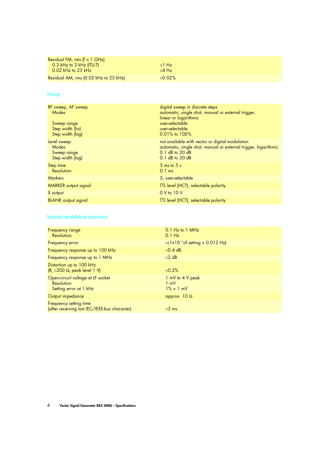| Residual FM, rms $(f = 1 \text{ GHz})$ |            |  |
|----------------------------------------|------------|--|
| $0.3$ kHz to 3 kHz (ITU-T)             | $<$ l Hz   |  |
| $\setminus$ 0.02 kHz to 23 kHz         | $<$ 4 Hz   |  |
| Residual AM, rms (0.02 kHz to 23 kHz)  | $< 0.02\%$ |  |

# **Sweep**

| RF sweep, AF sweep<br>Modes<br>Sweep range<br>Step width (lin)<br>Step width (log) | digital sweep in discrete steps<br>automatic, single shot, manual or external trigger,<br>linear or logarithmic<br>user-selectable<br>user-selectable<br>$0.01\%$ to $100\%$ |
|------------------------------------------------------------------------------------|------------------------------------------------------------------------------------------------------------------------------------------------------------------------------|
| Level sweep<br>Modes<br>Sweep range<br>Step width (log)                            | not available with vector or digital modulation<br>automatic, single shot, manual or external trigger, logarithmic<br>$0.1$ dB to 20 dB<br>$0.1$ dB to 20 dB                 |
| Step time<br>Resolution                                                            | $3 \text{ ms}$ to $5 \text{ s}$<br>$0.1$ ms                                                                                                                                  |
| <b>Markers</b>                                                                     | 3, user-selectable                                                                                                                                                           |
| <b>MARKER</b> output signal                                                        | TTL level (HCT), selectable polarity                                                                                                                                         |
| X output                                                                           | 0 V to 10 V                                                                                                                                                                  |
| <b>BLANK</b> output signal                                                         | TTL level (HCT), selectable polarity                                                                                                                                         |

## Internal modulation generator

| Frequency range<br>Resolution                                             | $0.1$ Hz to $1$ MHz<br>$0.1$ Hz                                           |
|---------------------------------------------------------------------------|---------------------------------------------------------------------------|
| Frequency error                                                           | $\langle 1 \times 10^{-4} \text{ of setting } + 0.012 \text{ Hz} \rangle$ |
| Frequency response up to 100 kHz                                          | $<$ 0.4 dB                                                                |
| Frequency response up to 1 MHz                                            | $<$ 2 dB                                                                  |
| Distortion up to 100 kHz<br>$(R1 > 200 \Omega,$ peak level 1 V)           | < 0.2%                                                                    |
| Open-circuit voltage at LF socket<br>Resolution<br>Setting error at 1 kHz | 1 mV to 4 V peak<br>$1 \text{ mV}$<br>$1\% + 1$ mV                        |
| Output impedance                                                          | approx. $10 \Omega$                                                       |
| Frequency setting time<br>(after receiving last IEC/IEEE-bus character)   | $<$ 3 ms                                                                  |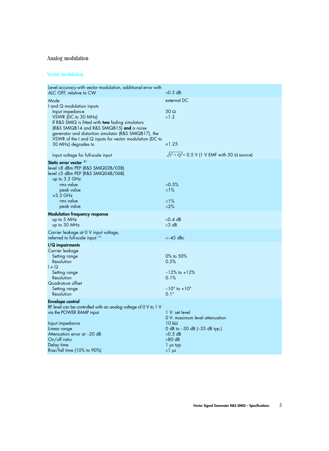# Analog modulation

## Vector modulation

| Level accuracy with vector modulation, additional error with<br>ALC OFF, relative to CW                                                                                                                                                                                                                                                                         | $<$ 0.3 dB                                                                                                                                                      |
|-----------------------------------------------------------------------------------------------------------------------------------------------------------------------------------------------------------------------------------------------------------------------------------------------------------------------------------------------------------------|-----------------------------------------------------------------------------------------------------------------------------------------------------------------|
| Mode<br>I and Q modulation inputs<br>Input impedance<br>VSWR (DC to 30 MHz)<br>If R&S SMIQ is fitted with two fading simulators<br>(R&S SMIQB14 and R&S SMIQB15) and a noise<br>generator and distortion simulator (R&S SMIQB17), the<br>VSWR of the I and $Q$ inputs for vector modulation (DC to<br>30 MHz) degrades to<br>Input voltage for full-scale input | external DC<br>$50 \Omega$<br><1.2<br>< 1.25<br>$\sqrt{I^2 + Q^2} = 0.5$ V (1 V EMF with 50 $\Omega$ source)                                                    |
| Static error vector 3)<br>level ≤8 dBm PEP (R&S SMIQ02B/03B)<br>$level \leq 5$ dBm PEP (R&S SMIQ04B/06B)<br>up to 3.3 GHz<br>rms value<br>peak value<br>$>3.3$ GHz<br>rms value<br>peak value                                                                                                                                                                   | < 0.5%<br>$<1\%$<br>$<1\%$<br><2%                                                                                                                               |
| <b>Modulation frequency response</b><br>up to 5 MHz<br>up to 30 MHz                                                                                                                                                                                                                                                                                             | $<$ 0.4 dB<br>$<$ 3 dB                                                                                                                                          |
| Carrier leakage at 0 V input voltage,<br>referred to full-scale input 3)                                                                                                                                                                                                                                                                                        | $<-45$ dBc                                                                                                                                                      |
| I/Q impairments<br>Carrier leakage<br>Setting range<br>Resolution<br>$I \neq Q$<br>Setting range<br>Resolution<br>Quadrature offset<br>Setting range<br>Resolution                                                                                                                                                                                              | 0% to 50%<br>0.5%<br>$-12\%$ to $+12\%$<br>0.1%<br>$-10^{\circ}$ to $+10^{\circ}$<br>$0.1^\circ$                                                                |
| <b>Envelope control</b><br>RF level can be controlled with an analog voltage of 0 V to 1 V<br>via the POWER RAMP input<br>Input impedance<br>Linear range<br>Attenuation error at -20 dB<br>On/off ratio<br>Delay time<br>Rise/fall time (10% to 90%)                                                                                                           | 1 V: set level<br>O V: maximum level attenuation<br>$10 k\Omega$<br>0 dB to -30 dB (-35 dB typ.)<br>$<$ 0.5 dB<br>$>80$ dB<br>$1$ $\mu s$ typ.<br>$<$ l $\mu$ s |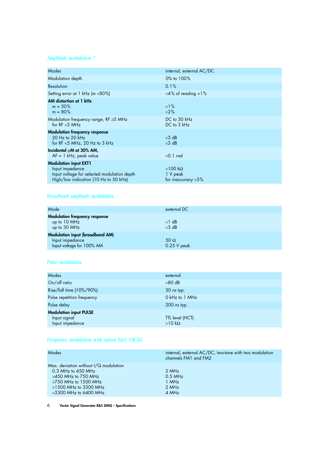# Amplitude modulation  $^{\,2)}$

| Modes                                                                                                   | internal, external AC/DC                                    |
|---------------------------------------------------------------------------------------------------------|-------------------------------------------------------------|
| Modulation depth                                                                                        | 0% to 100%                                                  |
| Resolution                                                                                              | 0.1%                                                        |
| Setting error at 1 kHz (m <80%)                                                                         | $<$ 4% of reading +1%                                       |
| AM distortion at 1 kHz<br>$m = 30\%$<br>$m = 80\%$                                                      | $1\%$<br><2%                                                |
| Modulation frequency range, $RF \ge 5$ MHz<br>for $RF < 5$ MHz                                          | DC to 50 kHz<br>DC to 3 kHz                                 |
| <b>Modulation frequency response</b><br>20 Hz to 20 $kHz$<br>for $RF < 5$ MHz, 20 Hz to 3 kHz           | $<$ 3 dB<br>$<$ 3 dB                                        |
| Incidental $\varphi$ M at 30% AM,<br>$AF = 1 kHz$ , peak value                                          | $<$ 0.1 rad                                                 |
| <b>Modulation input EXT1</b>                                                                            |                                                             |
| Input impedance<br>Input voltage for selected modulation depth<br>High/low indication (10 Hz to 50 kHz) | $>100 \text{ k}\Omega$<br>1 V peak<br>for inaccuracy $>3\%$ |

# Broadband amplitude modulation

| Mode                                                                                   | external DC                  |
|----------------------------------------------------------------------------------------|------------------------------|
| <b>Modulation frequency response</b><br>up to 10 MHz<br>up to 30 MHz                   | $<1$ dB<br>$<$ 3 dB          |
| <b>Modulation input (broadband AM)</b><br>Input impedance<br>Input voltage for 100% AM | 50 $\Omega$<br>$0.25$ V peak |

## Pulse modulation

| Modes                                                            | external                         |
|------------------------------------------------------------------|----------------------------------|
| On/off ratio                                                     | $>80$ dB                         |
| Rise/fall time (10%/90%)                                         | 30 ns typ.                       |
| Pulse repetition frequency                                       | 0 kHz to 1 MHz                   |
| Pulse delay                                                      | 200 ns typ.                      |
| <b>Modulation input PULSE</b><br>Input signal<br>Input impedance | TTL level (HCT)<br>$>10 k\Omega$ |

# Frequency modulation with option R&S SM-B5

| internal, external AC/DC, two-tone with two modulation<br>channels FM1 and FM2 |
|--------------------------------------------------------------------------------|
|                                                                                |
| 2 MHz                                                                          |
| $0.5$ MHz                                                                      |
| 1 MHz                                                                          |
| 2 MHz                                                                          |
| 4 MHz                                                                          |
|                                                                                |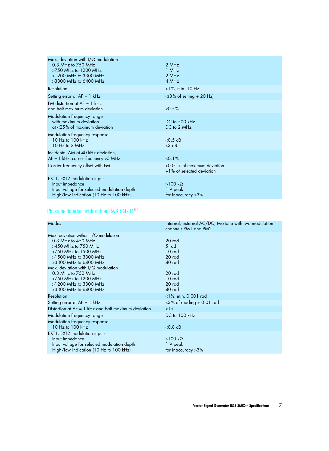| Max. deviation with I/Q modulation<br>0.3 MHz to 750 MHz<br>$>750$ MHz to 1200 MHz<br>>1200 MHz to 3300 MHz<br>$>3300$ MHz to 6400 MHz   | 2 MHz<br>$1$ MHz<br>2 MHz<br>4 MHz                          |
|------------------------------------------------------------------------------------------------------------------------------------------|-------------------------------------------------------------|
| Resolution                                                                                                                               | $<$ 1%, min. 10 Hz                                          |
| Setting error at $AF = 1$ kHz                                                                                                            | $<$ (3% of setting + 20 Hz)                                 |
| FM distortion at $AF = 1$ kHz<br>and half maximum deviation                                                                              | $< 0.5\%$                                                   |
| Modulation frequency range<br>with maximum deviation<br>at $<$ 25% of maximum deviation                                                  | DC to 500 kHz<br>DC to 2 MHz                                |
| Modulation frequency response<br>10 Hz to 100 $kHz$<br>10 Hz to 2 MHz                                                                    | $<$ 0.5 dB<br>$<$ 3 dB                                      |
| Incidental AM at 40 kHz deviation,<br>$AF = 1$ kHz, carrier frequency > 5 MHz                                                            | $< 0.1\%$                                                   |
| Carrier frequency offset with FM                                                                                                         | <0.01% of maximum deviation<br>+1% of selected deviation    |
| EXT1, EXT2 modulation inputs<br>Input impedance<br>Input voltage for selected modulation depth<br>High/low indication (10 Hz to 100 kHz) | $>100 \text{ k}\Omega$<br>1 V peak<br>for inaccuracy $>3\%$ |

# Phase modulation with option R&S SM-B513 )

| internal, external AC/DC, two-tone with two modulation<br>channels PM1 and PM2 |
|--------------------------------------------------------------------------------|
|                                                                                |
| 20 rad                                                                         |
| 5 rad                                                                          |
| 10 rad                                                                         |
| 20 rad                                                                         |
| 40 rad                                                                         |
|                                                                                |
| 20 rad                                                                         |
| 10 rad                                                                         |
| 20 rad                                                                         |
| 40 rad                                                                         |
| $<$ 1%, min. 0.001 rad                                                         |
| $<$ 3% of reading + 0.01 rad                                                   |
| $\langle$ 1%                                                                   |
| DC to 100 kHz                                                                  |
|                                                                                |
| $<$ 0.8 dB                                                                     |
|                                                                                |
| $>100 \text{ k}\Omega$                                                         |
| 1 V peak                                                                       |
| for inaccuracy $>3\%$                                                          |
|                                                                                |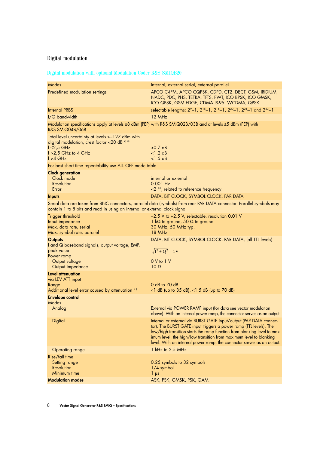# Digital modulation

# Digital modulation with optional Modulation Coder R&S SMIQB20

| Modes                                                                                                                                                                     | internal, external serial, external parallel                                                                                                                                                                                                                                                                                                                         |
|---------------------------------------------------------------------------------------------------------------------------------------------------------------------------|----------------------------------------------------------------------------------------------------------------------------------------------------------------------------------------------------------------------------------------------------------------------------------------------------------------------------------------------------------------------|
| Predefined modulation settings                                                                                                                                            | APCO C4FM, APCO CQPSK, CDPD, CT2, DECT, GSM, IRIDIUM,<br>NADC, PDC, PHS, TETRA, TFTS, PWT, ICO BPSK, ICO GMSK,<br>ICO QPSK, GSM EDGE, CDMA IS-95, WCDMA, QPSK                                                                                                                                                                                                        |
| <b>Internal PRBS</b>                                                                                                                                                      | selectable lengths: 2 <sup>9</sup> -1, 2 <sup>15</sup> -1, 2 <sup>16</sup> -1, 2 <sup>20</sup> -1, 2 <sup>21</sup> -1 and 2 <sup>23</sup> -1                                                                                                                                                                                                                         |
| I/Q bandwidth                                                                                                                                                             | 12 MHz                                                                                                                                                                                                                                                                                                                                                               |
| R&S SMIQ04B/06B                                                                                                                                                           | Modulation specifications apply at levels ≤8 dBm (PEP) with R&S SMIQ02B/03B and at levels ≤5 dBm (PEP) with                                                                                                                                                                                                                                                          |
| Total level uncertainty at levels > -127 dBm with<br>digital modulation, crest factor <20 dB <sup>2)3)</sup><br>$f \leq 2,5$ GHz<br>$f > 2,5$ GHz to 4 GHz<br>$f > 4$ GHz | $<$ 0.7 dB<br>$<1.2$ dB<br>$<$ 1.5 dB                                                                                                                                                                                                                                                                                                                                |
| For best short time repeatability use ALL OFF mode table                                                                                                                  |                                                                                                                                                                                                                                                                                                                                                                      |
| <b>Clock generation</b><br>Clock mode<br>Resolution<br>Error                                                                                                              | internal or external<br>$0.001$ Hz<br>$\langle 2^{-42} \rangle$ , related to reference frequency                                                                                                                                                                                                                                                                     |
| <b>Inputs</b>                                                                                                                                                             | DATA, BIT CLOCK, SYMBOL CLOCK, PAR DATA                                                                                                                                                                                                                                                                                                                              |
| contain 1 to 8 bits and read in using an internal or external clock signal                                                                                                | Serial data are taken from BNC connectors, parallel data (symbols) from rear PAR DATA connector. Parallel symbols may                                                                                                                                                                                                                                                |
| Trigger threshold<br>Input impedance<br>Max. data rate, serial<br>Max. symbol rate, parallel                                                                              | $-2.5$ V to $+2.5$ V, selectable, resolution 0.01 V<br>1 k $\Omega$ to ground, 50 $\Omega$ to ground<br>30 MHz, 50 MHz typ.<br>$18$ MHz                                                                                                                                                                                                                              |
| <b>Outputs</b><br>I and Q baseband signals, output voltage, EMF,<br>peak value<br>Power ramp<br>Output voltage<br>Output impedance                                        | DATA, BIT CLOCK, SYMBOL CLOCK, PAR DATA, (all TTL levels)<br>$\sqrt{I^2+Q^2}=1V$<br>0 V to 1 V<br>$10 \Omega$                                                                                                                                                                                                                                                        |
| Level attenuation<br>via LEV ATT input<br>Range<br>Additional level error caused by attenuation 31                                                                        | $0$ dB to $70$ dB<br>$\langle$ dB (up to 35 dB), $\langle$ 1.5 dB (up to 70 dB)                                                                                                                                                                                                                                                                                      |
| <b>Envelope control</b><br>Modes<br>Analog                                                                                                                                | External via POWER RAMP input (for data see vector modulation<br>above). With an internal power ramp, the connector serves as an output.                                                                                                                                                                                                                             |
| <b>Digital</b>                                                                                                                                                            | Internal or external via BURST GATE input/output (PAR DATA connec-<br>tor). The BURST GATE input triggers a power ramp (TTL levels). The<br>low/high transition starts the ramp function from blanking level to max-<br>imum level, the high/low transition from maximum level to blanking<br>level. With an internal power ramp, the connector serves as an output. |
| <b>Operating range</b>                                                                                                                                                    | 1 kHz to 2.5 MHz                                                                                                                                                                                                                                                                                                                                                     |
| Rise/fall time<br>Setting range<br>Resolution<br>Minimum time                                                                                                             | 0.25 symbols to 32 symbols<br>$1/4$ symbol<br>$\frac{1}{2}$ ps                                                                                                                                                                                                                                                                                                       |
| <b>Modulation modes</b>                                                                                                                                                   | ASK, FSK, GMSK, PSK, QAM                                                                                                                                                                                                                                                                                                                                             |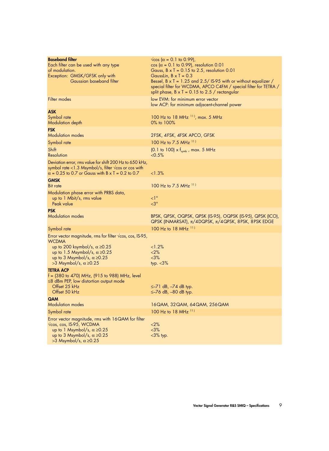| <b>Baseband filter</b><br>Each filter can be used with any type<br>of modulation.<br>Exception: GMSK/GFSK only with<br>Gaussian baseband filter                                                                                                   | $\sqrt{\cos(\alpha - 0.1)}$ to 0.99),<br>$\cos (\alpha = 0.1 \text{ to } 0.99)$ , resolution 0.01<br>Gauss, $B \times T = 0.15$ to 2.5, resolution 0.01<br>Gausslin, $B \times T = 0.3$<br>Bessel, $B \times T = 1.25$ and 2.5/ IS-95 with or without equalizer /<br>special filter for WCDMA, APCO C4FM / special filter for TETRA /<br>split phase, $B \times T = 0.15$ to 2.5 / rectangular |
|---------------------------------------------------------------------------------------------------------------------------------------------------------------------------------------------------------------------------------------------------|------------------------------------------------------------------------------------------------------------------------------------------------------------------------------------------------------------------------------------------------------------------------------------------------------------------------------------------------------------------------------------------------|
| Filter modes                                                                                                                                                                                                                                      | low EVM: for minimum error vector<br>low ACP: for minimum adjacent-channel power                                                                                                                                                                                                                                                                                                               |
| <b>ASK</b><br>Symbol rate<br>Modulation depth                                                                                                                                                                                                     | 100 Hz to 18 MHz $^{11}$ , max. 5 MHz<br>0% to 100%                                                                                                                                                                                                                                                                                                                                            |
| <b>FSK</b><br><b>Modulation modes</b>                                                                                                                                                                                                             | 2FSK, 4FSK, 4FSK APCO, GFSK                                                                                                                                                                                                                                                                                                                                                                    |
| Symbol rate                                                                                                                                                                                                                                       | 100 Hz to 7.5 MHz 111                                                                                                                                                                                                                                                                                                                                                                          |
| Shift<br>Resolution                                                                                                                                                                                                                               | $(0.1 \text{ to } 100) \times f_{\text{swmb}}$ , max. 5 MHz<br>$< 0.5\%$                                                                                                                                                                                                                                                                                                                       |
| Deviation error, rms value for shift 200 Hz to 650 kHz,<br>symbol rate <1.3 Msymbol/s, filter $\sqrt{\cos}$ or cos with<br>$\alpha$ = 0.25 to 0.7 or Gauss with B x T = 0.2 to 0.7                                                                | <1.3%                                                                                                                                                                                                                                                                                                                                                                                          |
| <b>GMSK</b><br><b>Bit rate</b>                                                                                                                                                                                                                    | 100 Hz to 7.5 MHz $^{11}$                                                                                                                                                                                                                                                                                                                                                                      |
| Modulation phase error with PRBS data,<br>up to 1 Mbit/s, rms value<br>Peak value                                                                                                                                                                 | $\leq$ 1 $\degree$<br>$<$ 3 $^{\circ}$                                                                                                                                                                                                                                                                                                                                                         |
| <b>PSK</b><br><b>Modulation modes</b>                                                                                                                                                                                                             | BPSK, QPSK, OQPSK, QPSK (IS-95), OQPSK (IS-95), QPSK (ICO),<br>QPSK (INMARSAT), $\pi/4$ DQPSK, $\pi/4$ QPSK, 8PSK, 8PSK EDGE                                                                                                                                                                                                                                                                   |
| Symbol rate                                                                                                                                                                                                                                       | 100 Hz to 18 MHz 111                                                                                                                                                                                                                                                                                                                                                                           |
| Error vector magnitude, rms for filter $\sqrt{\cos}$ , cos, IS-95,<br><b>WCDMA</b><br>up to 200 ksymbol/s, $\alpha \ge 0.25$<br>up to 1.5 Msymbol/s, $\alpha \ge 0.25$<br>up to 3 Msymbol/s, $\alpha \ge 0.25$<br>>3 Msymbol/s, $\alpha \ge 0.25$ | <1.2%<br><2%<br>$<$ 3%<br>typ. $<$ 3%                                                                                                                                                                                                                                                                                                                                                          |
| <b>TETRA ACP</b><br>f = (380 to 470) MHz, (915 to 988) MHz, level<br>$\leq$ 8 dBm PEP, low distortion output mode<br>Offset 25 kHz<br>Offset 50 kHz                                                                                               | $\leq$ -71 dB, $-74$ dB typ.<br>$\leq$ -76 dB, -80 dB typ.                                                                                                                                                                                                                                                                                                                                     |
| <b>QAM</b><br><b>Modulation modes</b>                                                                                                                                                                                                             | 16QAM, 32QAM, 64QAM, 256QAM                                                                                                                                                                                                                                                                                                                                                                    |
| Symbol rate                                                                                                                                                                                                                                       | 100 Hz to 18 MHz $11$                                                                                                                                                                                                                                                                                                                                                                          |
| Error vector magnitude, rms with 16QAM for filter<br>$\sqrt{\cos}$ , cos, IS-95, WCDMA<br>up to 1 Msymbol/s, $\alpha \ge 0.25$<br>up to 3 Msymbol/s, $\alpha \ge 0.25$<br>>3 Msymbol/s, $\alpha \ge 0.25$                                         | 2%<br>$< 3\%$<br>$<$ 3% typ.                                                                                                                                                                                                                                                                                                                                                                   |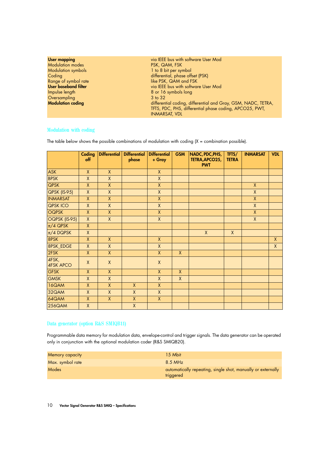| via IEEE bus with software User Mod<br><b>User mapping</b><br><b>Modulation modes</b><br>PSK, QAM, FSK<br>1 to 8 bit per symbol<br><b>Modulation symbols</b><br>differential, phase offset (PSK)<br>Coding<br>like PSK, QAM and FSK<br>Range of symbol rate<br><b>User baseband filter</b><br>via IEEE bus with software User Mod<br>Impulse length<br>8 or 16 symbols long<br>Oversampling<br>3 to 32<br><b>Modulation coding</b><br>differential coding, differential and Gray, GSM, NADC, TETRA,<br>TFTS, PDC, PHS, differential phase coding, APCO25, PWT,<br><b>INMARSAT, VDL</b> |  |
|----------------------------------------------------------------------------------------------------------------------------------------------------------------------------------------------------------------------------------------------------------------------------------------------------------------------------------------------------------------------------------------------------------------------------------------------------------------------------------------------------------------------------------------------------------------------------------------|--|
|----------------------------------------------------------------------------------------------------------------------------------------------------------------------------------------------------------------------------------------------------------------------------------------------------------------------------------------------------------------------------------------------------------------------------------------------------------------------------------------------------------------------------------------------------------------------------------------|--|

## Modulation with coding

The table below shows the possible combinations of modulation with coding  $(X =$  combination possible).

|                           | Coding<br>off | Differential | <b>Differential</b><br>phase | <b>Differential</b><br>+ Gray | <b>GSM</b>   | NADC, PDC, PHS,<br>TETRA, APCO25,<br><b>PWT</b> | TFTS/<br><b>TETRA</b> | <b>INMARSAT</b> | <b>VDL</b>   |
|---------------------------|---------------|--------------|------------------------------|-------------------------------|--------------|-------------------------------------------------|-----------------------|-----------------|--------------|
| <b>ASK</b>                | $\mathsf{X}$  | $\mathsf{X}$ |                              | $\mathsf{X}$                  |              |                                                 |                       |                 |              |
| <b>BPSK</b>               | $\mathsf{X}$  | $\mathsf{X}$ |                              | $\mathsf{X}$                  |              |                                                 |                       |                 |              |
| <b>QPSK</b>               | $\mathsf{X}$  | $\mathsf{X}$ |                              | $\pmb{\mathsf{X}}$            |              |                                                 |                       | $\mathsf{X}$    |              |
| <b>QPSK (IS-95)</b>       | $\mathsf{X}$  | $\mathsf{X}$ |                              | $\mathsf{X}$                  |              |                                                 |                       | $\mathsf{X}$    |              |
| <b>INMARSAT</b>           | $\mathsf{X}$  | $\mathsf X$  |                              | $\pmb{\mathsf{X}}$            |              |                                                 |                       | $\mathsf{X}$    |              |
| QPSK ICO                  | $\mathsf{X}$  | $\mathsf{X}$ |                              | $\mathsf{X}$                  |              |                                                 |                       | $\mathsf{X}$    |              |
| <b>OQPSK</b>              | $\mathsf{X}$  | $\mathsf{X}$ |                              | $\mathsf{X}$                  |              |                                                 |                       | $\mathsf{X}$    |              |
| OQPSK (IS-95)             | $\mathsf{X}$  | $\mathsf{X}$ |                              | $\mathsf{X}$                  |              |                                                 |                       | $\mathsf{X}$    |              |
| $\pi/4$ QPSK              | $\mathsf{X}$  |              |                              |                               |              |                                                 |                       |                 |              |
| $\pi/4$ DQPSK             | $\mathsf{X}$  |              |                              |                               |              | $\mathsf{X}$                                    | $\mathsf{X}$          |                 |              |
| 8PSK                      | $\mathsf{X}$  | $\mathsf{X}$ |                              | $\mathsf{X}$                  |              |                                                 |                       |                 | $\mathsf{X}$ |
| 8PSK_EDGE                 | $\mathsf{X}$  | $\mathsf{X}$ |                              | $\mathsf{X}$                  |              |                                                 |                       |                 | $\mathsf{X}$ |
| 2FSK                      | $\mathsf{X}$  | $\mathsf{X}$ |                              | $\mathsf{X}$                  | $\mathsf{X}$ |                                                 |                       |                 |              |
| 4FSK,<br><b>4FSK APCO</b> | $\mathsf{X}$  | $\mathsf{X}$ |                              | $\mathsf{X}$                  |              |                                                 |                       |                 |              |
| <b>GFSK</b>               | $\mathsf{X}$  | $\mathsf{X}$ |                              | $\mathsf{X}$                  | $\mathsf{X}$ |                                                 |                       |                 |              |
| <b>GMSK</b>               | $\mathsf{X}$  | $\mathsf{X}$ |                              | X                             | $\mathsf{X}$ |                                                 |                       |                 |              |
| 16QAM                     | $\mathsf{X}$  | $\mathsf{X}$ | $\mathsf{X}$                 | $\mathsf{X}$                  |              |                                                 |                       |                 |              |
| 32QAM                     | $\mathsf{X}$  | $\mathsf{X}$ | $\mathsf{X}$                 | $\mathsf{X}$                  |              |                                                 |                       |                 |              |
| 64QAM                     | $\mathsf{X}$  | $\pmb{\chi}$ | $\pmb{\chi}$                 | $\mathsf{X}$                  |              |                                                 |                       |                 |              |
| 256QAM                    | $\mathsf{X}$  |              | $\mathsf{X}$                 |                               |              |                                                 |                       |                 |              |

## Data generator (option R&S SMIQB11)

Programmable data memory for modulation data, envelope-control and trigger signals. The data generator can be operated only in conjunction with the optional modulation coder (R&S SMIQB20).

| Memory capacity  | 15 Mbit                                                                   |
|------------------|---------------------------------------------------------------------------|
| Max. symbol rate | $8.5$ MHz                                                                 |
| <b>Modes</b>     | automatically repeating, single shot, manually or externally<br>triggered |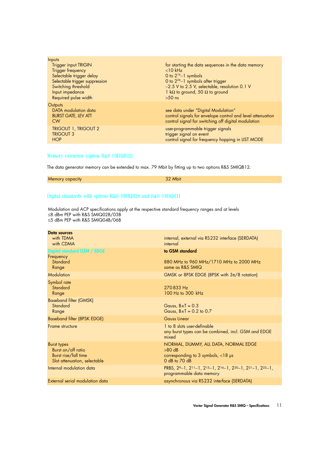| Inputs                         |                                                            |
|--------------------------------|------------------------------------------------------------|
| <b>Trigger input TRIGIN</b>    | for starting the data sequences in the data memory         |
| Trigger frequency              | $<$ 10 kHz                                                 |
| Selectable trigger delay       | 0 to $2^{16}-1$ symbols                                    |
| Selectable trigger suppression | 0 to $2^{26}-1$ symbols after trigger                      |
| Switching threshold            | -2.5 V to 2.5 V, selectable, resolution 0.1 V              |
| Input impedance                | 1 k $\Omega$ to ground, 50 $\Omega$ to ground              |
| Required pulse width           | $>50$ ns                                                   |
| Outputs                        |                                                            |
| DATA modulation data           | see data under "Digital Modulation"                        |
| <b>BURST GATE, LEV ATT</b>     | control signals for envelope control and level attenuation |
| <b>CW</b>                      | control signal for switching off digital modulation        |
| <b>TRIGOUT 1, TRIGOUT 2</b>    | user-programmable trigger signals                          |
| <b>TRIGOUT 3</b>               | trigger signal on event                                    |
| <b>HOP</b>                     | control signal for frequency hopping in LIST MODE          |
|                                |                                                            |

## Memory extension (option R&S SMIQB12)

The data generator memory can be extended to max. 79 Mbit by fitting up to two options R&S SMIQB12.

| Memory capacity | 32 Mbit |
|-----------------|---------|
|-----------------|---------|

## Digital standards with options R&S SMIQB20 and R&S SMIQB11

| Data sources<br>with TDMA<br>with CDMA                                                    | internal, external via RS232 interface (SERDATA)<br>internal                                                                                                    |
|-------------------------------------------------------------------------------------------|-----------------------------------------------------------------------------------------------------------------------------------------------------------------|
| <b>Digital standard GSM / EDGE</b><br>Frequency<br>Standard<br>Range                      | to GSM standard<br>880 MHz to 960 MHz/1710 MHz to 2000 MHz<br>same as R&S SMIQ                                                                                  |
| Modulation                                                                                | GMSK or 8PSK EDGE (8PSK with $3\pi/8$ rotation)                                                                                                                 |
| Symbol rate<br>Standard<br>Range                                                          | 270833 Hz<br>100 Hz to 300 kHz                                                                                                                                  |
| <b>Baseband filter (GMSK)</b><br>Standard<br>Range                                        | Gauss, $BxT = 0.3$<br>Gauss, $B \times T = 0.2$ to 0.7                                                                                                          |
| Baseband filter (8PSK EDGE)                                                               | <b>Gauss Linear</b>                                                                                                                                             |
| Frame structure                                                                           | 1 to 8 slots user-definable<br>any burst types can be combined, incl. GSM and EDGE<br>mixed                                                                     |
| Burst types<br>Burst on/off ratio<br>Burst rise/fall time<br>Slot attenuation, selectable | NORMAL, DUMMY, ALL DATA, NORMAL EDGE<br>$>80$ dB<br>corresponding to 3 symbols, $<$ 18 µs<br>$0$ dB to $70$ dB                                                  |
| Internal modulation data                                                                  | PRBS, 29-1, 2 <sup>11</sup> -1, 2 <sup>15</sup> -1, 2 <sup>16</sup> -1, 2 <sup>20</sup> -1, 2 <sup>21</sup> -1, 2 <sup>23</sup> -1,<br>programmable data memory |
| External serial modulation data                                                           | asynchronous via RS232 interface (SERDATA)                                                                                                                      |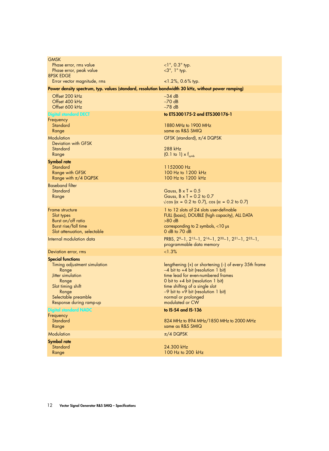| <b>GMSK</b><br>Phase error, rms value                                                                                                                                           | ${1^{\circ}}$ , 0.3 $^{\circ}$ typ.                                                                                                                                                                                                                                                                       |
|---------------------------------------------------------------------------------------------------------------------------------------------------------------------------------|-----------------------------------------------------------------------------------------------------------------------------------------------------------------------------------------------------------------------------------------------------------------------------------------------------------|
| Phase error, peak value<br><b>8PSK EDGE</b>                                                                                                                                     | $<$ 3°, 1° typ.                                                                                                                                                                                                                                                                                           |
| Error vector magnitude, rms                                                                                                                                                     | $1.2\%$ , 0.6% typ.                                                                                                                                                                                                                                                                                       |
| Power density spectrum, typ. values (standard, resolution bandwidth 30 kHz, without power ramping)                                                                              |                                                                                                                                                                                                                                                                                                           |
| Offset 200 kHz<br>Offset 400 kHz<br>Offset 600 kHz                                                                                                                              | $-34$ dB<br>$-70$ dB<br>$-78$ dB                                                                                                                                                                                                                                                                          |
| <b>Digital standard DECT</b>                                                                                                                                                    | to ETS300175-2 and ETS300176-1                                                                                                                                                                                                                                                                            |
| Frequency<br>Standard<br>Range                                                                                                                                                  | 1880 MHz to 1900 MHz<br>same as R&S SMIQ                                                                                                                                                                                                                                                                  |
| Modulation<br><b>Deviation with GFSK</b><br>Standard                                                                                                                            | GFSK (standard), $\pi/4$ DQPSK<br>288 kHz                                                                                                                                                                                                                                                                 |
| Range                                                                                                                                                                           | $(0.1 \text{ to } 1) \times f_{\text{swnb}}$                                                                                                                                                                                                                                                              |
| <b>Symbol rate</b><br>Standard<br><b>Range with GFSK</b><br>Range with $\pi/4$ DQPSK                                                                                            | 1152000 Hz<br>100 Hz to 1200 kHz<br>100 Hz to 1200 kHz                                                                                                                                                                                                                                                    |
| <b>Baseband filter</b><br>Standard<br>Range                                                                                                                                     | Gauss, $B \times T = 0.5$<br>Gauss, $B \times T = 0.2$ to 0.7<br>$\sqrt{\cos(\alpha - 0.2 \text{ to } 0.7)}$ , cos ( $\alpha = 0.2$ to 0.7)                                                                                                                                                               |
| Frame structure<br>Slot types<br>Burst on/off ratio<br>Burst rise/fall time<br>Slot attenuation, selectable                                                                     | 1 to 12 slots of 24 slots user-definable<br>FULL (basic), DOUBLE (high capacity), ALL DATA<br>$>80$ dB<br>corresponding to 2 symbols, $<$ 10 $\mu$ s<br>$0$ dB to $70$ dB                                                                                                                                 |
| Internal modulation data                                                                                                                                                        | PRBS, 29-1, 215-1, 216-1, 220-1, 221-1, 223-1,<br>programmable data memory                                                                                                                                                                                                                                |
| Deviation error, rms                                                                                                                                                            | <1.3%                                                                                                                                                                                                                                                                                                     |
| <b>Special functions</b><br>Timing adjustment simulation<br>Range<br>Jitter simulation<br>Range<br>Slot timing shift<br>Range<br>Selectable preamble<br>Response during ramp-up | lengthening $(+)$ or shortening $(-)$ of every 35th frame<br>$-4$ bit to $+4$ bit (resolution 1 bit)<br>time lead for even-numbered frames<br>0 bit to $+4$ bit (resolution 1 bit)<br>time shifting of a single slot<br>$-9$ bit to $+9$ bit (resolution 1 bit)<br>normal or prolonged<br>modulated or CW |
| <b>Digital standard NADC</b>                                                                                                                                                    | to IS-54 and IS-136                                                                                                                                                                                                                                                                                       |
| Frequency<br>Standard<br>Range                                                                                                                                                  | 824 MHz to 894 MHz/1850 MHz to 2000 MHz<br>same as R&S SMIQ                                                                                                                                                                                                                                               |
| Modulation                                                                                                                                                                      | $\pi/4$ DQPSK                                                                                                                                                                                                                                                                                             |
| <b>Symbol rate</b><br>Standard<br>Range                                                                                                                                         | 24.300 kHz<br>100 Hz to 200 kHz                                                                                                                                                                                                                                                                           |
|                                                                                                                                                                                 |                                                                                                                                                                                                                                                                                                           |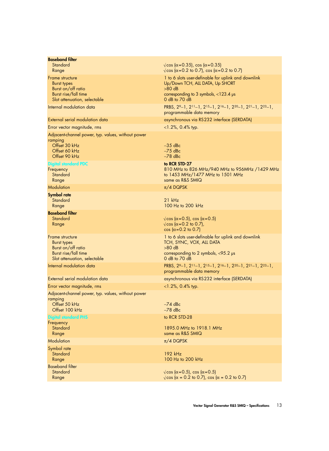| <b>Baseband filter</b><br>Standard<br>Range                                                                         | $\sqrt{\cos(\alpha=0.35)}$ , cos ( $\alpha=0.35$ )<br>$\sqrt{\cos(\alpha=0.2 \text{ to } 0.7)}$ , cos ( $\alpha=0.2 \text{ to } 0.7$ )                               |
|---------------------------------------------------------------------------------------------------------------------|----------------------------------------------------------------------------------------------------------------------------------------------------------------------|
| Frame structure<br><b>Burst types</b><br>Burst on/off ratio<br>Burst rise/fall time<br>Slot attenuation, selectable | 1 to 6 slots user-definable for uplink and downlink<br>Up/Down TCH, ALL DATA, Up SHORT<br>$>80$ dB<br>corresponding to 3 symbols, $<$ 123.4 $\mu$ s<br>0 dB to 70 dB |
| Internal modulation data                                                                                            | PRBS, 29-1, 2 <sup>11</sup> -1, 2 <sup>15</sup> -1, 2 <sup>16</sup> -1, 2 <sup>20</sup> -1, 2 <sup>21</sup> -1, 2 <sup>23</sup> -1,<br>programmable data memory      |
| External serial modulation data                                                                                     | asynchronous via RS232 interface (SERDATA)                                                                                                                           |
| Error vector magnitude, rms                                                                                         | $<$ 1.2%, 0.4% typ.                                                                                                                                                  |
| Adjacent-channel power, typ. values, without power<br>ramping<br>Offset 30 kHz<br>Offset 60 kHz<br>Offset 90 kHz    | $-35$ dBc<br>$-75$ dBc<br>$-78$ dBc                                                                                                                                  |
| <b>Digital standard PDC</b><br>Frequency<br>Standard<br>Range                                                       | to RCR STD-27<br>810 MHz to 826 MHz/940 MHz to 956MHz /1429 MHz<br>to 1453 MHz/1477 MHz to 1501 MHz<br>same as R&S SMIQ                                              |
| Modulation                                                                                                          | $\pi/4$ DQPSK                                                                                                                                                        |
| <b>Symbol rate</b><br>Standard<br>Range                                                                             | $21$ kHz<br>100 Hz to 200 kHz                                                                                                                                        |
| <b>Baseband filter</b><br>Standard<br>Range                                                                         | $\sqrt{\cos(\alpha=0.5)}$ , cos ( $\alpha=0.5$ )<br>$\sqrt{\cos(\alpha=0.2 \text{ to } 0.7)}$ ,<br>$\cos (\alpha = 0.2 \text{ to } 0.7)$                             |
| Frame structure<br><b>Burst types</b><br>Burst on/off ratio<br>Burst rise/fall time<br>Slot attenuation, selectable | 1 to 6 slots user-definable for uplink and downlink<br>TCH, SYNC, VOX, ALL DATA<br>$>80$ dB<br>corresponding to 2 symbols, $<$ 95.2 $\mu$ s<br>$0$ dB to $70$ dB     |
| Internal modulation data                                                                                            | PRBS, 29-1, 2 <sup>11</sup> -1, 2 <sup>15</sup> -1, 2 <sup>16</sup> -1, 2 <sup>20</sup> -1, 2 <sup>21</sup> -1, 2 <sup>23</sup> -1,<br>programmable data memory      |
| External serial modulation data                                                                                     | asynchronous via RS232 interface (SERDATA)                                                                                                                           |
| Error vector magnitude, rms                                                                                         | $<$ 1.2%, 0.4% typ.                                                                                                                                                  |
| Adjacent-channel power, typ. values, without power<br>ramping<br>Offset 50 kHz<br>Offset 100 kHz                    | $-74$ dBc<br>$-78$ dBc                                                                                                                                               |
| <b>Digital standard PHS</b><br>Frequency<br>Standard<br>Range                                                       | to RCR STD-28<br>1895.0 MHz to 1918.1 MHz<br>same as R&S SMIQ                                                                                                        |
| Modulation                                                                                                          | $\pi/4$ DQPSK                                                                                                                                                        |
| Symbol rate<br>Standard<br>Range                                                                                    | 192 kHz<br>100 Hz to 200 kHz                                                                                                                                         |
| <b>Baseband filter</b><br>Standard<br>Range                                                                         | $\sqrt{\cos(\alpha=0.5)}$ , cos $(\alpha=0.5)$<br>$\sqrt{\cos(\alpha - 0.2 \text{ to } 0.7)}$ , cos ( $\alpha = 0.2$ to 0.7)                                         |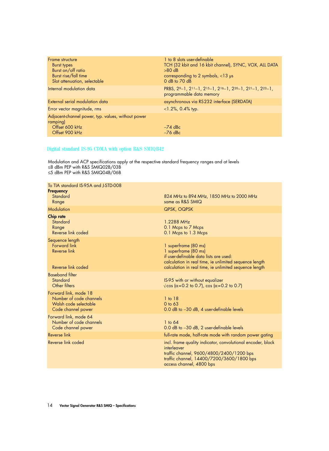| Frame structure<br>Burst types<br>Burst on/off ratio<br>Burst rise/fall time<br>Slot attenuation, selectable | 1 to 8 slots user-definable<br>TCH (32 kbit and 16 kbit channel), SYNC, VOX, ALL DATA<br>$>80$ dB<br>corresponding to 2 symbols, $<$ 13 µs<br>$0$ dB to $70$ dB |
|--------------------------------------------------------------------------------------------------------------|-----------------------------------------------------------------------------------------------------------------------------------------------------------------|
| Internal modulation data                                                                                     | PRBS, $2^{9}-1$ , $2^{11}-1$ , $2^{15}-1$ , $2^{16}-1$ , $2^{20}-1$ , $2^{21}-1$ , $2^{23}-1$ ,<br>programmable data memory                                     |
| External serial modulation data                                                                              | asynchronous via RS232 interface (SERDATA)                                                                                                                      |
| Error vector magnitude, rms                                                                                  | $<$ 1.2%, 0.4% typ.                                                                                                                                             |
| Adjacent-channel power, typ. values, without power<br>ramping)<br>Offset 600 kHz                             | $-74$ dBc                                                                                                                                                       |
| Offset 900 kHz                                                                                               | $-76$ dBc                                                                                                                                                       |

#### Digital standard IS-95 CDMA with option R&S SMIQB42

| To TIA standard IS-95A and J-STD-008<br><b>Frequency</b>                                        |                                                                                                                                                                                                            |
|-------------------------------------------------------------------------------------------------|------------------------------------------------------------------------------------------------------------------------------------------------------------------------------------------------------------|
| Standard<br>Range                                                                               | 824 MHz to 894 MHz, 1850 MHz to 2000 MHz<br>same as R&S SMIQ                                                                                                                                               |
| Modulation                                                                                      | QPSK, OQPSK                                                                                                                                                                                                |
| <b>Chip rate</b><br>Standard<br>Range<br>Reverse link coded                                     | 1.2288 MHz<br>0.1 Mcps to 7 Mcps<br>0.1 Mcps to 1.3 Mcps                                                                                                                                                   |
| Sequence length<br>Forward link<br><b>Reverse link</b><br>Reverse link coded                    | 1 superframe (80 ms)<br>1 superframe (80 ms)<br>if user-definable data lists are used:<br>calculation in real time, ie unlimited sequence length<br>calculation in real time, ie unlimited sequence length |
| <b>Baseband filter</b><br>Standard<br>Other filters                                             | IS-95 with or without equalizer<br>$\sqrt{\cos(\alpha=0.2 \text{ to } 0.7)}$ , cos $(\alpha=0.2 \text{ to } 0.7)$                                                                                          |
| Forward link, mode 18<br>Number of code channels<br>Walsh code selectable<br>Code channel power | $1$ to $18$<br>0 to 63<br>0.0 dB to -30 dB, 4 user-definable levels                                                                                                                                        |
| Forward link, mode 64<br>Number of code channels<br>Code channel power                          | $1$ to $64$<br>0.0 dB to -30 dB, 2 user-definable levels                                                                                                                                                   |
| <b>Reverse link</b>                                                                             | full-rate mode, half-rate mode with random power gating                                                                                                                                                    |
| Reverse link coded                                                                              | incl. frame quality indicator, convolutional encoder, block<br>interleaver<br>traffic channel, 9600/4800/2400/1200 bps<br>traffic channel, 14400/7200/3600/1800 bps<br>access channel, 4800 bps            |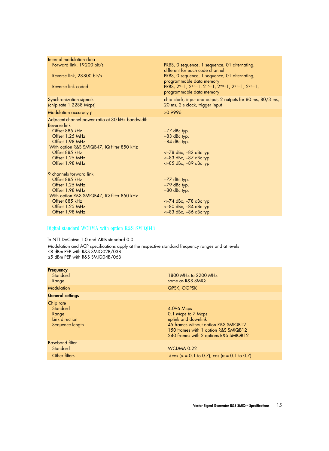| Internal modulation data                                                           |                                                                                                |
|------------------------------------------------------------------------------------|------------------------------------------------------------------------------------------------|
| Forward link, 19200 bit/s                                                          | PRBS, O sequence, 1 sequence, 01 alternating,<br>different for each code channel               |
| Reverse link, 28800 bit/s                                                          | PRBS, 0 sequence, 1 sequence, 01 alternating,<br>programmable data memory                      |
| Reverse link coded                                                                 | PRBS, 29-1, 215-1, 216-1, 220-1, 221-1, 223-1,<br>programmable data memory                     |
| Synchronization signals<br>(chip rate 1.2288 Mcps)                                 | chip clock, input and output, 2 outputs for 80 ms, 80/3 ms,<br>20 ms, 2 s clock, trigger input |
| Modulation accuracy p                                                              | >0.9996                                                                                        |
| Adjacent-channel power ratio at 30 kHz bandwidth<br>Reverse link<br>Offset 885 kHz | $-77$ dBc typ.                                                                                 |
| Offset 1.25 MHz<br>Offset 1.98 MHz                                                 | $-83$ dBc typ.                                                                                 |
| With option R&S SMIQB47, IQ filter 850 kHz                                         | $-84$ dBc typ.                                                                                 |
| Offset 885 kHz                                                                     | $<-78$ dBc, $-82$ dBc typ.                                                                     |
| Offset 1.25 MHz                                                                    | $<-83$ dBc, $-87$ dBc typ.                                                                     |
| Offset 1.98 MHz                                                                    | $<-85$ dBc, $-89$ dBc typ.                                                                     |
| 9 channels forward link                                                            |                                                                                                |
| Offset 885 kHz                                                                     | $-77$ dBc typ.                                                                                 |
| Offset 1.25 MHz                                                                    | $-79$ dBc typ.                                                                                 |
| Offset 1.98 MHz                                                                    | $-80$ dBc typ.                                                                                 |
| With option R&S SMIQB47, IQ filter 850 kHz                                         |                                                                                                |
| Offset 885 kHz<br>Offset 1.25 MHz                                                  | $<-74$ dBc, $-78$ dBc typ.                                                                     |
| Offset 1.98 MHz                                                                    | $<-80$ dBc, $-84$ dBc typ.<br>$<-83$ dBc, $-86$ dBc typ.                                       |
|                                                                                    |                                                                                                |

## Digital standard WCDMA with option R&S SMIQB43

To NTT DoCoMo 1.0 and ARIB standard 0.0

| <b>Frequency</b><br>Standard<br>Range                               | 1800 MHz to 2200 MHz<br>same as R&S SMIQ                                                                                                                                         |
|---------------------------------------------------------------------|----------------------------------------------------------------------------------------------------------------------------------------------------------------------------------|
| <b>Modulation</b>                                                   | QPSK, OQPSK                                                                                                                                                                      |
| <b>General settings</b>                                             |                                                                                                                                                                                  |
| Chip rate<br>Standard<br>Range<br>Link direction<br>Sequence length | 4.096 Mcps<br>0.1 Mcps to 7 Mcps<br>uplink and downlink<br>45 frames without option R&S SMIQB12<br>150 frames with 1 option R&S SMIQB12<br>240 frames with 2 options R&S SMIQB12 |
| <b>Baseband filter</b><br>Standard                                  | WCDMA 0.22                                                                                                                                                                       |
| Other filters                                                       | $\sqrt{\cos{(\alpha - 0.1 \text{ to } 0.7)}}$ , cos $(\alpha = 0.1 \text{ to } 0.7)$                                                                                             |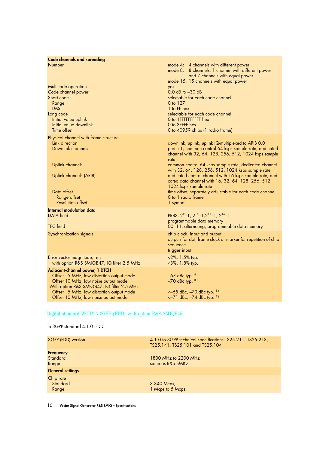| <b>Code channels and spreading</b><br>Number<br>Multicode operation<br>Code channel power<br>Short code<br>Range<br>LMS<br>Long code<br>Initial value uplink<br>Initial value downlink<br>Time offset                                                | mode 4: 4 channels with different power<br>mode 8: 8 channels, 1 channel with different power<br>and 7 channels with equal power<br>mode 15: 15 channels with equal power<br>yes<br>$0.0$ dB to $-30$ dB<br>selectable for each code channel<br>0 to 127<br>1 to FF hex<br>selectable for each code channel<br>O to IFFFFFFFFFF hex<br>0 to 3FFFF hex<br>0 to 40959 chips (1 radio frame)                                                                                                                                             |
|------------------------------------------------------------------------------------------------------------------------------------------------------------------------------------------------------------------------------------------------------|---------------------------------------------------------------------------------------------------------------------------------------------------------------------------------------------------------------------------------------------------------------------------------------------------------------------------------------------------------------------------------------------------------------------------------------------------------------------------------------------------------------------------------------|
| Physical channel with frame structure<br>Link direction<br>Downlink channels<br><b>Uplink channels</b><br>Uplink channels (ARIB)<br>Data offset<br>Range offset<br><b>Resolution offset</b>                                                          | downlink, uplink, uplink IQ-multiplexed to ARIB 0.0<br>perch 1, common control 64 ksps sample rate, dedicated<br>channel with 32, 64, 128, 256, 512, 1024 ksps sample<br>rate<br>common control 64 ksps sample rate, dedicated channel<br>with 32, 64, 128, 256, 512, 1024 ksps sample rate<br>dedicated control channel with 16 ksps sample rate, dedi-<br>cated data channel with 16, 32, 64, 128, 256, 512,<br>1024 ksps sample rate<br>time offset, separately adjustable for each code channel<br>0 to 1 radio frame<br>1 symbol |
| <b>Internal modulation data</b><br><b>DATA</b> field<br><b>TPC</b> field                                                                                                                                                                             | PRBS, $2^{9}-1$ , $2^{11}-1$ , $2^{15}-1$ , $2^{16}-1$<br>programmable data memory<br>00, 11, alternating, programmable data memory                                                                                                                                                                                                                                                                                                                                                                                                   |
| Synchronization signals                                                                                                                                                                                                                              | chip clock, input and output<br>outputs for slot, frame clock or marker for repetition of chip<br>sequence<br>trigger input                                                                                                                                                                                                                                                                                                                                                                                                           |
| Error vector magnitude, rms<br>with option R&S SMIQB47, IQ filter 2.5 MHz                                                                                                                                                                            | $<$ 2%, 1.5% typ.<br>$<$ 3%, 1.8% typ.                                                                                                                                                                                                                                                                                                                                                                                                                                                                                                |
| Adjacent-channel power, 1 DTCH<br>Offset 5 MHz, low distortion output mode<br>Offset 10 MHz, low noise output mode<br>With option R&S SMIQB47, IQ filter 2.5 MHz<br>Offset 5 MHz, low distortion output mode<br>Offset 10 MHz, low noise output mode | $-67$ dBc typ. $81$<br>$-70$ dBc typ. $81$<br>$<-65$ dBc, $-70$ dBc typ. $81$<br>$<-71$ dBc, $-74$ dBc typ. $81$                                                                                                                                                                                                                                                                                                                                                                                                                      |

# Digital standard WCDMA 3GPP (FDD) with option R&S SMIQB45

To 3GPP standard 4.1.0 (FDD)

| 3GPP (FDD) version                    | 4.1.0 to 3GPP technical specifications TS25.211, TS25.213,<br>TS25.141, TS25.101 and TS25.104 |
|---------------------------------------|-----------------------------------------------------------------------------------------------|
| <b>Frequency</b><br>Standard<br>Range | 1800 MHz to 2200 MHz<br>same as R&S SMIQ                                                      |
| <b>General settings</b>               |                                                                                               |
| Chip rate<br>Standard<br>Range        | 3.840 Mcps,<br>1 Mcps to 5 Mcps                                                               |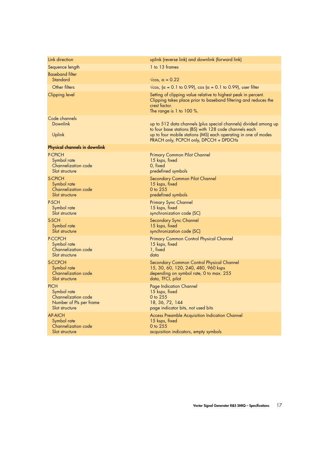| Link direction                       | uplink (reverse link) and downlink (forward link)                                                                                                                                                                                      |
|--------------------------------------|----------------------------------------------------------------------------------------------------------------------------------------------------------------------------------------------------------------------------------------|
| Sequence length                      | 1 to 13 frames                                                                                                                                                                                                                         |
| <b>Baseband filter</b><br>Standard   | $\sqrt{\cos}$ , $\alpha = 0.22$                                                                                                                                                                                                        |
| Other filters                        | $\sqrt{\cos}$ , ( $\alpha$ = 0.1 to 0.99), cos ( $\alpha$ = 0.1 to 0.99), user filter                                                                                                                                                  |
| <b>Clipping level</b>                | Setting of clipping value relative to highest peak in percent.<br>Clipping takes place prior to baseband filtering and reduces the<br>crest factor.<br>The range is 1 to $100\%$ .                                                     |
| Code channels<br>Downlink<br>Uplink  | up to 512 data channels (plus special channels) divided among up<br>to four base stations (BS) with 128 code channels each<br>up to four mobile stations (MS) each operating in one of modes<br>PRACH only, PCPCH only, DPCCH + DPDCHs |
| <b>Physical channels in downlink</b> |                                                                                                                                                                                                                                        |
| <b>P-CPICH</b>                       | <b>Primary Common Pilot Channel</b>                                                                                                                                                                                                    |
| Symbol rate                          | 15 ksps, fixed                                                                                                                                                                                                                         |
| Channelization code                  | 0, fixed                                                                                                                                                                                                                               |
| Slot structure                       | predefined symbols                                                                                                                                                                                                                     |
| S-CPICH                              | <b>Secondary Common Pilot Channel</b>                                                                                                                                                                                                  |
| Symbol rate                          | 15 ksps, fixed                                                                                                                                                                                                                         |
| Channelization code                  | 0 to 255                                                                                                                                                                                                                               |
| Slot structure                       | predefined symbols                                                                                                                                                                                                                     |
| P-SCH                                | <b>Primary Sync Channel</b>                                                                                                                                                                                                            |
| Symbol rate                          | 15 ksps, fixed                                                                                                                                                                                                                         |
| Slot structure                       | synchronization code (SC)                                                                                                                                                                                                              |
| S-SCH                                | <b>Secondary Sync Channel</b>                                                                                                                                                                                                          |
| Symbol rate                          | 15 ksps, fixed                                                                                                                                                                                                                         |
| Slot structure                       | synchronization code (SC)                                                                                                                                                                                                              |
| <b>P-CCPCH</b>                       | Primary Common Control Physical Channel                                                                                                                                                                                                |
| Symbol rate                          | 15 ksps, fixed                                                                                                                                                                                                                         |
| Channelization code                  | 1, fixed                                                                                                                                                                                                                               |
| Slot structure                       | data                                                                                                                                                                                                                                   |
| <b>S-CCPCH</b>                       | Secondary Common Control Physical Channel                                                                                                                                                                                              |
| Symbol rate                          | 15, 30, 60, 120, 240, 480, 960 ksps                                                                                                                                                                                                    |
| Channelization code                  | depending on symbol rate, 0 to max. 255                                                                                                                                                                                                |
| Slot structure                       | data, TFCI, pilot                                                                                                                                                                                                                      |
| <b>PICH</b>                          | <b>Page Indication Channel</b>                                                                                                                                                                                                         |
| Symbol rate                          | 15 ksps, fixed                                                                                                                                                                                                                         |
| Channelization code                  | 0 to 255                                                                                                                                                                                                                               |
| Number of PIs per frame              | 18, 36, 72, 144                                                                                                                                                                                                                        |
| Slot structure                       | page indicator bits, not used bits                                                                                                                                                                                                     |
| <b>AP-AICH</b>                       | <b>Access Preamble Acquisition Indication Channel</b>                                                                                                                                                                                  |
| Symbol rate                          | 15 ksps, fixed                                                                                                                                                                                                                         |
| Channelization code                  | 0 to 255                                                                                                                                                                                                                               |
| Slot structure                       | acquisition indicators, empty symbols                                                                                                                                                                                                  |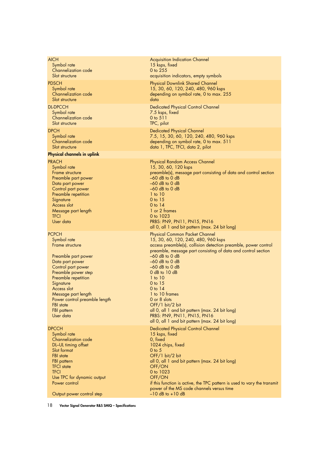| <b>AICH</b><br>Symbol rate<br>Channelization code<br>Slot structure                                                                                                                                                                                                                                     | <b>Acquisition Indication Channel</b><br>15 ksps, fixed<br>0 to 255<br>acquisition indicators, empty symbols                                                                                                                                                                                                                                                                                                                                                                                                                  |
|---------------------------------------------------------------------------------------------------------------------------------------------------------------------------------------------------------------------------------------------------------------------------------------------------------|-------------------------------------------------------------------------------------------------------------------------------------------------------------------------------------------------------------------------------------------------------------------------------------------------------------------------------------------------------------------------------------------------------------------------------------------------------------------------------------------------------------------------------|
| <b>PDSCH</b><br>Symbol rate<br>Channelization code<br>Slot structure                                                                                                                                                                                                                                    | <b>Physical Downlink Shared Channel</b><br>15, 30, 60, 120, 240, 480, 960 ksps<br>depending on symbol rate, 0 to max. 255<br>data                                                                                                                                                                                                                                                                                                                                                                                             |
| <b>DL-DPCCH</b><br>Symbol rate<br>Channelization code<br>Slot structure                                                                                                                                                                                                                                 | <b>Dedicated Physical Control Channel</b><br>7.5 ksps, fixed<br>0 to 511<br>TPC, pilot                                                                                                                                                                                                                                                                                                                                                                                                                                        |
| <b>DPCH</b><br>Symbol rate<br>Channelization code<br>Slot structure                                                                                                                                                                                                                                     | <b>Dedicated Physical Channel</b><br>7.5, 15, 30, 60, 120, 240, 480, 960 ksps<br>depending on symbol rate, 0 to max. 511<br>data 1, TPC, TFCI, data 2, pilot                                                                                                                                                                                                                                                                                                                                                                  |
| <b>Physical channels in uplink</b>                                                                                                                                                                                                                                                                      |                                                                                                                                                                                                                                                                                                                                                                                                                                                                                                                               |
| <b>PRACH</b><br>Symbol rate<br>Frame structure<br>Preamble part power<br>Data part power<br>Control part power<br>Preamble repetition<br>Signature<br>Access slot<br>Message part length<br><b>TFCI</b><br>User data                                                                                    | Physical Random Access Channel<br>15, 30, 60, 120 ksps<br>preamble(s), message part consisting of data and control section<br>$-60$ dB to 0 dB<br>$-60$ dB to 0 dB<br>$-60$ dB to 0 dB<br>$1$ to $10$<br>0 to 15<br>$0$ to $14$<br>1 or 2 frames<br>0 to 1023<br>PRBS: PN9, PN11, PN15, PN16<br>all 0, all 1 and bit pattern (max. 24 bit long)                                                                                                                                                                               |
| <b>PCPCH</b><br>Symbol rate<br>Frame structure<br>Preamble part power<br>Data part power<br>Control part power<br>Preamble power step<br>Preamble repetition<br>Signature<br>Access slot<br>Message part length<br>Power control preamble length<br><b>FBI</b> state<br><b>FBI</b> pattern<br>User data | Physical Common Packet Channel<br>15, 30, 60, 120, 240, 480, 960 ksps<br>access preamble(s), collision detection preamble, power control<br>preamble, message part consisting of data and control section<br>$-60$ dB to 0 dB<br>$-60$ dB to 0 dB<br>$-60$ dB to 0 dB<br>$0$ dB to $10$ dB<br>$1$ to $10$<br>0 to 15<br>$0$ to $14$<br>1 to 10 frames<br>0 or 8 slots<br>OFF/1 bit/2 bit<br>all 0, all 1 and bit pattern (max. 24 bit long)<br>PRBS: PN9, PN11, PN15, PN16<br>all 0, all 1 and bit pattern (max. 24 bit long) |
| <b>DPCCH</b>                                                                                                                                                                                                                                                                                            | <b>Dedicated Physical Control Channel</b>                                                                                                                                                                                                                                                                                                                                                                                                                                                                                     |
| Symbol rate<br>Channelization code<br>DL-UL timing offset<br>Slot format<br><b>FBI</b> state<br><b>FBI</b> pattern<br><b>TFCI</b> state<br><b>TFCI</b><br>Use TPC for dynamic output<br>Power control<br>Output power control step                                                                      | 15 ksps, fixed<br>0, fixed<br>1024 chips, fixed<br>$0$ to $5$<br>OFF/1 bit/2 bit<br>all 0, all 1 and bit pattern (max. 24 bit long)<br>OFF/ON<br>0 to 1023<br>OFF/ON<br>if this function is active, the TPC pattern is used to vary the transmit<br>power of the MS code channels versus time<br>$-10$ dB to $+10$ dB                                                                                                                                                                                                         |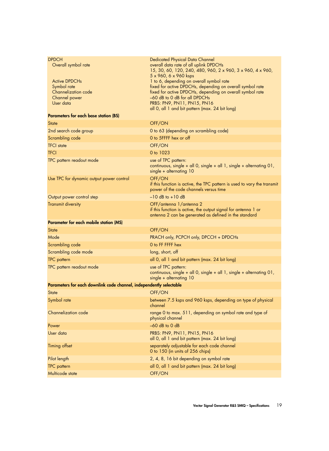| <b>DPDCH</b><br>Overall symbol rate<br><b>Active DPDCHs</b>         | <b>Dedicated Physical Data Channel</b><br>overall data rate of all uplink DPDCHs<br>15, 30, 60, 120, 240, 480, 960, 2 x 960, 3 x 960, 4 x 960,<br>5 x 960, 6 x 960 ksps<br>1 to 6, depending on overall symbol rate |  |
|---------------------------------------------------------------------|---------------------------------------------------------------------------------------------------------------------------------------------------------------------------------------------------------------------|--|
| Symbol rate<br>Channelization code<br>Channel power<br>User data    | fixed for active DPDCHs, depending on overall symbol rate<br>fixed for active DPDCHs, depending on overall symbol rate<br>-60 dB to 0 dB for all DPDCHs<br>PRBS: PN9, PN11, PN15, PN16                              |  |
|                                                                     | all 0, all 1 and bit pattern (max. 24 bit long)                                                                                                                                                                     |  |
| <b>Parameters for each base station (BS)</b>                        |                                                                                                                                                                                                                     |  |
| <b>State</b>                                                        | OFF/ON                                                                                                                                                                                                              |  |
| 2nd search code group                                               | 0 to 63 (depending on scrambling code)                                                                                                                                                                              |  |
| Scrambling code                                                     | 0 to 5FFFF hex or off                                                                                                                                                                                               |  |
| <b>TFCI</b> state                                                   | OFF/ON                                                                                                                                                                                                              |  |
| <b>TFCI</b>                                                         | 0 to 1023                                                                                                                                                                                                           |  |
| TPC pattern readout mode                                            | use of TPC pattern:<br>continuous, single + all 0, single + all 1, single + alternating $01$ ,<br>single + alternating 10                                                                                           |  |
| Use TPC for dynamic output power control                            | OFF/ON<br>if this function is active, the TPC pattern is used to vary the transmit<br>power of the code channels versus time                                                                                        |  |
| Output power control step                                           | $-10$ dB to $+10$ dB                                                                                                                                                                                                |  |
| <b>Transmit diversity</b>                                           | OFF/antenna 1/antenna 2<br>if this function is active, the output signal for antenna 1 or<br>antenna 2 can be generated as defined in the standard                                                                  |  |
| <b>Parameter for each mobile station (MS)</b>                       |                                                                                                                                                                                                                     |  |
| <b>State</b>                                                        | OFF/ON                                                                                                                                                                                                              |  |
| Mode                                                                | PRACH only, PCPCH only, DPCCH + DPDCHs                                                                                                                                                                              |  |
| Scrambling code                                                     | O to FF FFFF hex                                                                                                                                                                                                    |  |
| Scrambling code mode                                                | long, short, off                                                                                                                                                                                                    |  |
| <b>TPC</b> pattern                                                  | all 0, all 1 and bit pattern (max. 24 bit long)                                                                                                                                                                     |  |
| TPC pattern readout mode                                            | use of TPC pattern:<br>continuous, single + all 0, single + all 1, single + alternating 01,<br>$single + alternating 10$                                                                                            |  |
| Parameters for each downlink code channel, independently selectable |                                                                                                                                                                                                                     |  |
| <b>State</b>                                                        | OFF/ON                                                                                                                                                                                                              |  |
| Symbol rate                                                         | between 7.5 ksps and 960 ksps, depending on type of physical<br>channel                                                                                                                                             |  |
| Channelization code                                                 | range 0 to max. 511, depending on symbol rate and type of<br>physical channel                                                                                                                                       |  |
| Power                                                               | $-60$ dB to 0 dB                                                                                                                                                                                                    |  |
| User data                                                           | PRBS: PN9, PN11, PN15, PN16<br>all 0, all 1 and bit pattern (max. 24 bit long)                                                                                                                                      |  |
| <b>Timing offset</b>                                                | separately adjustable for each code channel<br>0 to 150 (in units of 256 chips)                                                                                                                                     |  |
| Pilot length                                                        | 2, 4, 8, 16 bit depending on symbol rate                                                                                                                                                                            |  |
| <b>TPC</b> pattern                                                  | all 0, all 1 and bit pattern (max. 24 bit long)                                                                                                                                                                     |  |
| Multicode state                                                     | OFF/ON                                                                                                                                                                                                              |  |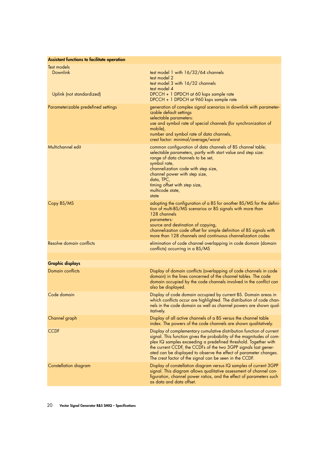| <b>Assistant functions to facilitate operation</b>          |                                                                                                                                                                                                                                                                                                                                                                                                                     |
|-------------------------------------------------------------|---------------------------------------------------------------------------------------------------------------------------------------------------------------------------------------------------------------------------------------------------------------------------------------------------------------------------------------------------------------------------------------------------------------------|
| Test models<br><b>Downlink</b><br>Uplink (not standardized) | test model 1 with 16/32/64 channels<br>test model 2<br>test model 3 with 16/32 channels<br>test model 4<br>DPCCH + 1 DPDCH at 60 ksps sample rate<br>DPCCH + 1 DPDCH at 960 ksps sample rate                                                                                                                                                                                                                        |
| Parameterizable predefined settings                         | generation of complex signal scenarios in downlink with parameter-<br>izable default settings<br>selectable parameters:<br>use and symbol rate of special channels (for synchronization of<br>mobile),<br>number and symbol rate of data channels,<br>crest factor: minimal/average/worst                                                                                                                           |
| Multichannel edit                                           | common configuration of data channels of BS channel table;<br>selectable parameters, partly with start value and step size:<br>range of data channels to be set,<br>symbol rate,<br>channelization code with step size,<br>channel power with step size,<br>data, TPC,<br>timing offset with step size,<br>multicode state,<br>state                                                                                |
| Copy BS/MS                                                  | adopting the configuration of a BS for another BS/MS for the defini-<br>tion of multi-BS/MS scenarios or BS signals with more than<br>128 channels<br>parameters:<br>source and destination of copying,<br>channelization code offset for simple definition of BS signals with<br>more than 128 channels and continuous channelization codes                                                                        |
| Resolve domain conflicts                                    | elimination of code channel overlapping in code domain (domain<br>conflicts) occurring in a BS/MS                                                                                                                                                                                                                                                                                                                   |
|                                                             |                                                                                                                                                                                                                                                                                                                                                                                                                     |
| <b>Graphic displays</b>                                     |                                                                                                                                                                                                                                                                                                                                                                                                                     |
| Domain conflicts                                            | Display of domain conflicts (overlapping of code channels in code<br>domain) in the lines concerned of the channel tables. The code<br>domain occupied by the code channels involved in the conflict can<br>also be displayed.                                                                                                                                                                                      |
| Code domain                                                 | Display of code domain occupied by current BS. Domain areas in<br>which conflicts occur are highlighted. The distribution of code chan-<br>nels in the code domain as well as channel powers are shown qual-<br><i>itatively.</i>                                                                                                                                                                                   |
| Channel graph                                               | Display of all active channels of a BS versus the channel table<br>index. The powers of the code channels are shown qualitatively.                                                                                                                                                                                                                                                                                  |
| <b>CCDF</b>                                                 | Display of complementary cumulative distribution function of current<br>signal. This function gives the probability of the magnitudes of com-<br>plex IQ samples exceeding a predefined threshold. Together with<br>the current CCDF, the CCDFs of the two 3GPP signals last gener-<br>ated can be displayed to observe the effect of parameter changes.<br>The crest factor of the signal can be seen in the CCDF. |
| Constellation diagram                                       | Display of constellation diagram versus IQ samples of current 3GPP<br>signal. This diagram allows qualitative assessment of channel con-<br>figuration, channel power ratios, and the effect of parameters such<br>as data and data offset.                                                                                                                                                                         |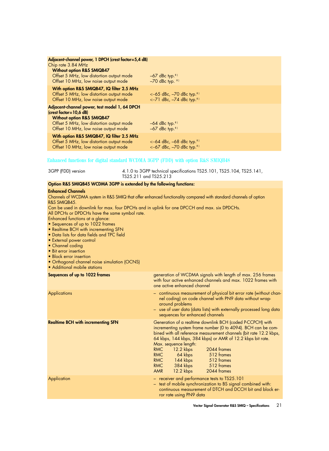| Adjacent-channel power, 1 DPCH (crest factor=5,4 dB)<br>Chip rate 3.84 MHz<br><b>Without option R&amp;S SMIQB47</b><br>Offset 5 MHz, low distortion output mode<br>Offset 10 MHz, low noise output mode   | $-67$ dBc typ. <sup>8)</sup><br>$-70$ dBc typ. $81$                                  |
|-----------------------------------------------------------------------------------------------------------------------------------------------------------------------------------------------------------|--------------------------------------------------------------------------------------|
| With option R&S SMIQB47, IQ filter 2.5 MHz<br>Offset 5 MHz, low distortion output mode<br>Offset 10 MHz, low noise output mode                                                                            | $<-65$ dBc, $-70$ dBc typ. <sup>81</sup><br>$<-71$ dBc, $-74$ dBc typ. <sup>8)</sup> |
| Adjacent-channel power, test model 1, 64 DPCH<br>$(crest factor = 10, 6 dB)$<br><b>Without option R&amp;S SMIQB47</b><br>Offset 5 MHz, low distortion output mode<br>Offset 10 MHz, low noise output mode | $-64$ dBc typ. <sup>8)</sup><br>$-67$ dBc typ. <sup>8)</sup>                         |
| With option R&S SMIQB47, IQ filter 2.5 MHz<br>Offset 5 MHz, low distortion output mode<br>Offset 10 MHz, low noise output mode                                                                            | $<-64$ dBc, $-68$ dBc typ. <sup>8)</sup><br>$<-67$ dBc, $-70$ dBc typ. <sup>8)</sup> |

#### Enhanced functions for digital standard WCDMA 3GPP (FDD) with option R&S SMIQB48

3GPP (FDD) version 4.1.0 to 3GPP technical specifications TS25.101, TS25.104, TS25.141, TS25.211 and TS25.213

#### **Option R&S SMIQB45 WCDMA 3GPP is extended by the following functions:**

#### **Enhanced Channels**

Channels of WCDMA system in R&S SMIQ that offer enhanced functionality compared with standard channels of option R&S SMIQB45.

Can be used in downlink for max. four DPCHs and in uplink for one DPCCH and max. six DPDCHs. All DPCHs or DPDCHs have the same symbol rate.

- Enhanced functions at a glance:
- Sequences of up to 1022 frames
- Realtime BCH with incrementing SFN
- Data lists for data fields and TPC field
- External power control
- Channel coding
- Bit error insertion
- Block error insertion
- Orthogonal channel noise simulation (OCNS)
- Additional mobile stations

| Sequences of up to 1022 frames            | generation of WCDMA signals with length of max. 256 frames<br>with four active enhanced channels and max. 1022 frames with<br>one active enhanced channel                                                                                                                                                                                                                                                                                                                                    |  |
|-------------------------------------------|----------------------------------------------------------------------------------------------------------------------------------------------------------------------------------------------------------------------------------------------------------------------------------------------------------------------------------------------------------------------------------------------------------------------------------------------------------------------------------------------|--|
| <b>Applications</b>                       | - continuous measurement of physical bit error rate (without chan-<br>nel coding) on code channel with PN9 data without wrap-<br>around problems<br>- use of user data (data lists) with externally processed long data<br>sequences for enhanced channels                                                                                                                                                                                                                                   |  |
| <b>Realtime BCH with incrementing SFN</b> | Generation of a realtime downlink BCH (coded P-CCPCH) with<br>incrementing system frame number (0 to 4094). BCH can be com-<br>bined with all reference measurement channels (bit rate 12.2 kbps,<br>64 kbps, 144 kbps, 384 kbps) or AMR of 12.2 kbps bit rate.<br>Max. sequence length:<br><b>RMC</b><br>$12.2$ kbps<br>2044 frames<br>64 kbps 512 frames<br><b>RMC</b><br>144 kbps 512 frames<br><b>RMC</b><br><b>RMC</b><br>384 kbps 512 frames<br>12.2 kbps<br>2044 frames<br><b>AMR</b> |  |
| Application                               | - receiver and performance tests to TS25.101<br>- test of mobile synchronization to BS signal combined with:<br>continuous measurement of DTCH and DCCH bit and block er-<br>ror rate using PN9 data                                                                                                                                                                                                                                                                                         |  |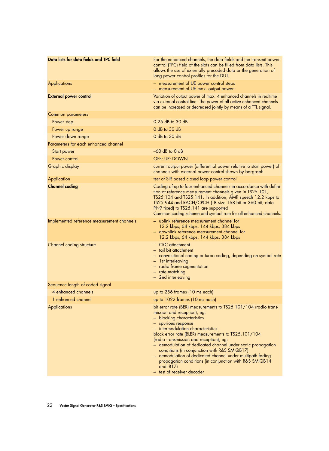| Data lists for data fields and TPC field   | For the enhanced channels, the data fields and the transmit power<br>control (TPC) field of the slots can be filled from data lists. This<br>allows the use of externally precoded data or the generation of<br>long power control profiles for the DUT.                                                                                                                                                                                                                                                                                                                        |
|--------------------------------------------|---------------------------------------------------------------------------------------------------------------------------------------------------------------------------------------------------------------------------------------------------------------------------------------------------------------------------------------------------------------------------------------------------------------------------------------------------------------------------------------------------------------------------------------------------------------------------------|
| Applications                               | - measurement of UE power control steps<br>- measurement of UE max. output power                                                                                                                                                                                                                                                                                                                                                                                                                                                                                                |
| <b>External power control</b>              | Variation of output power of max. 4 enhanced channels in realtime<br>via external control line. The power of all active enhanced channels<br>can be increased or decreased jointly by means of a TTL signal.                                                                                                                                                                                                                                                                                                                                                                    |
| <b>Common parameters</b>                   |                                                                                                                                                                                                                                                                                                                                                                                                                                                                                                                                                                                 |
| Power step                                 | 0.25 dB to 30 dB                                                                                                                                                                                                                                                                                                                                                                                                                                                                                                                                                                |
| Power up range                             | 0 dB to 30 dB                                                                                                                                                                                                                                                                                                                                                                                                                                                                                                                                                                   |
| Power down range                           | 0 dB to 30 dB                                                                                                                                                                                                                                                                                                                                                                                                                                                                                                                                                                   |
| Parameters for each enhanced channel       |                                                                                                                                                                                                                                                                                                                                                                                                                                                                                                                                                                                 |
| Start power                                | $-60$ dB to 0 dB                                                                                                                                                                                                                                                                                                                                                                                                                                                                                                                                                                |
| Power control                              | OFF; UP; DOWN                                                                                                                                                                                                                                                                                                                                                                                                                                                                                                                                                                   |
| Graphic display                            | current output power (differential power relative to start power) of<br>channels with external power control shown by bargraph                                                                                                                                                                                                                                                                                                                                                                                                                                                  |
| Application                                | test of SIR based closed loop power control                                                                                                                                                                                                                                                                                                                                                                                                                                                                                                                                     |
| <b>Channel coding</b>                      | Coding of up to four enhanced channels in accordance with defini-<br>tion of reference measurement channels given in TS25.101,<br>TS25.104 and TS25.141. In addition, AMR speech 12.2 kbps to<br>TS25.944 and RACH/CPCH (TB size 168 bit or 360 bit, data<br>PN9 fixed) to TS25.141 are supported.<br>Common coding scheme and symbol rate for all enhanced channels.                                                                                                                                                                                                           |
| Implemented reference measurement channels | - uplink reference measurement channel for<br>12.2 kbps, 64 kbps, 144 kbps, 384 kbps<br>- downlink reference measurement channel for<br>12.2 kbps, 64 kbps, 144 kbps, 384 kbps                                                                                                                                                                                                                                                                                                                                                                                                  |
| Channel coding structure                   | - CRC attachment<br>- tail bit attachment<br>- convolutional coding or turbo coding, depending on symbol rate<br>- 1st interleaving<br>- radio frame segmentation<br>- rate matching<br>- 2nd interleaving                                                                                                                                                                                                                                                                                                                                                                      |
| Sequence length of coded signal            |                                                                                                                                                                                                                                                                                                                                                                                                                                                                                                                                                                                 |
| 4 enhanced channels                        | up to 256 frames (10 ms each)                                                                                                                                                                                                                                                                                                                                                                                                                                                                                                                                                   |
| 1 enhanced channel                         | up to 1022 frames (10 ms each)                                                                                                                                                                                                                                                                                                                                                                                                                                                                                                                                                  |
| Applications                               | bit error rate (BER) measurements to TS25.101/104 (radio trans-<br>mission and reception), eg:<br>- blocking characteristics<br>- spurious response<br>- intermodulation characteristics<br>block error rate (BLER) measurements to TS25.101/104<br>(radio transmission and reception), eg:<br>- demodulation of dedicated channel under static propagation<br>conditions (in conjunction with R&S SMIQB17)<br>- demodulation of dedicated channel under multipath fading<br>propagation conditions (in conjunction with R&S SMIQB14<br>and -B17)<br>- test of receiver decoder |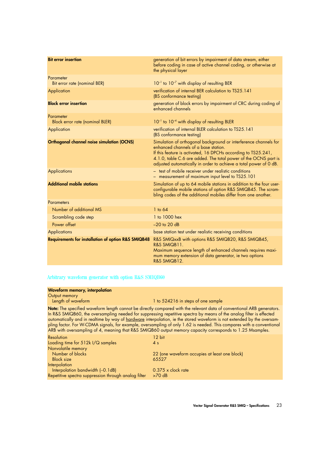| <b>Bit error insertion</b>                                     | generation of bit errors by impairment of data stream, either<br>before coding in case of active channel coding, or otherwise at<br>the physical layer                                                                                                                                                            |
|----------------------------------------------------------------|-------------------------------------------------------------------------------------------------------------------------------------------------------------------------------------------------------------------------------------------------------------------------------------------------------------------|
| Parameter<br>Bit error rate (nominal BER)                      | $10^{-1}$ to $10^{-7}$ with display of resulting BER                                                                                                                                                                                                                                                              |
| Application                                                    | verification of internal BER calculation to TS25.141<br>(BS conformance testing)                                                                                                                                                                                                                                  |
| <b>Block error insertion</b>                                   | generation of block errors by impairment of CRC during coding of<br>enhanced channels                                                                                                                                                                                                                             |
| Parameter<br>Block error rate (nominal BLER)                   | 10 <sup>-1</sup> to 10 <sup>-4</sup> with display of resulting BLER                                                                                                                                                                                                                                               |
| Application                                                    | verification of internal BLER calculation to TS25.141<br>(BS conformance testing)                                                                                                                                                                                                                                 |
| <b>Orthogonal channel noise simulation (OCNS)</b>              | Simulation of orthogonal background or interference channels for<br>enhanced channels of a base station.<br>If this feature is activated, 16 DPCHs according to TS25.241,<br>4.1.0, table C.6 are added. The total power of the OCNS part is<br>adjusted automatically in order to achieve a total power of 0 dB. |
| <b>Applications</b>                                            | - test of mobile receiver under realistic conditions<br>- measurement of maximum input level to TS25.101                                                                                                                                                                                                          |
| <b>Additional mobile stations</b>                              | Simulation of up to 64 mobile stations in addition to the four user-<br>configurable mobile stations of option R&S SMIQB45. The scram-<br>bling codes of the additional mobiles differ from one another.                                                                                                          |
| <b>Parameters</b>                                              |                                                                                                                                                                                                                                                                                                                   |
| Number of additional MS                                        | $1$ to 64                                                                                                                                                                                                                                                                                                         |
| Scrambling code step                                           | 1 to 1000 hex                                                                                                                                                                                                                                                                                                     |
| Power offset                                                   | $-20$ to 20 dB                                                                                                                                                                                                                                                                                                    |
| <b>Applications</b>                                            | base station test under realistic receiving conditions                                                                                                                                                                                                                                                            |
| <b>Requirements for installation of option R&amp;S SMIQB48</b> | R&S SMIQxxB with options R&S SMIQB20, R&S SMIQB45,<br>R&S SMIQB11.<br>Maximum sequence length of enhanced channels requires maxi-<br>mum memory extension of data generator, ie two options<br>R&S SMIQB12.                                                                                                       |

#### Arbitrary waveform generator with option R&S SMIQB60

#### **Waveform memory, interpolation**

| Output memory |  |
|---------------|--|
|               |  |

Length of waveform **1** to 524216 in steps of one sample

**Note:** The specified waveform length cannot be directly compared with the relevant data of conventional ARB generators. In R&S SMIQB60, the oversampling needed for suppressing repetitive spectra by means of the analog filter is effected automatically and in realtime by way of hardware interpolation, ie the stored waveform is not extended by the oversampling factor. For W-CDMA signals, for example, oversampling of only 1.62 is needed. This compares with a conventional ARB with oversampling of 4, meaning that R&S SMIQB60 output memory capacity corresponds to 1.25 Msamples.

| <b>Resolution</b>                                    | 12 bit                                        |
|------------------------------------------------------|-----------------------------------------------|
| Loading time for 512k I/Q samples                    | 4 <sub>s</sub>                                |
| Nonvolatile memory                                   |                                               |
| Number of blocks                                     | 22 (one waveform occupies at least one block) |
| <b>Block size</b>                                    | 65527                                         |
| Interpolation                                        |                                               |
| Interpolation bandwidth (-0.1dB)                     | $0.375 \times$ clock rate                     |
| Repetitive spectra suppression through analog filter | $>70$ dB                                      |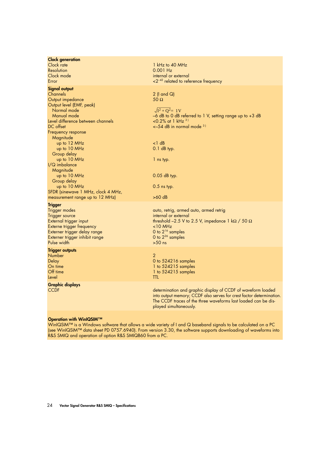| <b>Clock generation</b><br>Clock rate<br>Resolution<br>Clock mode<br>Error                                                                                                                                                                                                                                                                                                              | $1$ kHz to 40 MHz<br>$0.001$ Hz<br>internal or external<br>$\langle 2^{-42} \rangle$ related to reference frequency                                                                                                                                            |
|-----------------------------------------------------------------------------------------------------------------------------------------------------------------------------------------------------------------------------------------------------------------------------------------------------------------------------------------------------------------------------------------|----------------------------------------------------------------------------------------------------------------------------------------------------------------------------------------------------------------------------------------------------------------|
| <b>Signal output</b><br>Channels<br>Output impedance<br>Output level (EMF, peak)<br>Normal mode<br>Manual mode<br>Level difference between channels<br>DC offset<br>Frequency response<br>Magnitude<br>up to 12 MHz<br>up to 10 MHz<br>Group delay<br>up to 10 MHz<br>$I/Q$ imbalance<br>Magnitude<br>up to 10 MHz<br>Group delay<br>up to 10 MHz<br>SFDR (sinewave 1 MHz, clock 4 MHz, | $2$ (I and Q)<br>50 $\Omega$<br>$\sqrt{I^2+Q^2}=1V$<br>-6 dB to 0 dB referred to 1 V, setting range up to +3 dB<br><0.2% at 1 $kHz$ <sup>3)</sup><br>$\leq$ -54 dB in normal mode $31$<br><1 dB<br>$0.1$ dB typ.<br>1 ns typ.<br>0.05 dB typ.<br>$0.5$ ns typ. |
| measurement range up to 12 MHz)                                                                                                                                                                                                                                                                                                                                                         | >60 dB                                                                                                                                                                                                                                                         |
| <b>Trigger</b><br><b>Trigger modes</b><br>Trigger source<br>External trigger input<br>Externe trigger frequency<br>Externer trigger delay range<br>Externer trigger inhibit range<br>Pulse width                                                                                                                                                                                        | auto, retrig, armed auto, armed retrig<br>internal or external<br>threshold -2.5 V to 2.5 V, impedance 1 k $\Omega$ / 50 $\Omega$<br>$<$ 10 MHz<br>0 to $2^{16}$ samples<br>0 to $2^{26}$ samples<br>$>50$ ns                                                  |
| <b>Trigger outputs</b><br><b>Number</b><br><b>Delay</b><br>On time<br>Off time<br>Level                                                                                                                                                                                                                                                                                                 | $\overline{2}$<br>0 to 524216 samples<br>1 to $524215$ samples<br>1 to 524215 samples<br>ttl                                                                                                                                                                   |
| <b>Graphic displays</b><br><b>CCDF</b>                                                                                                                                                                                                                                                                                                                                                  | determination and graphic display of CCDF of waveform loaded<br>into output memory; CCDF also serves for crest factor determination.<br>The CCDF traces of the three waveforms last loaded can be dis-<br>played simultaneously.                               |
|                                                                                                                                                                                                                                                                                                                                                                                         |                                                                                                                                                                                                                                                                |

#### **Operation with WinIQSIM™**

WinIQSIM™ is a Windows software that allows a wide variety of I and Q baseband signals to be calculated on a PC (see WinIQSIM™ data sheet PD 0757.6940). From version 3.30, the software supports downloading of waveforms into R&S SMIQ and operation of option R&S SMIQB60 from a PC.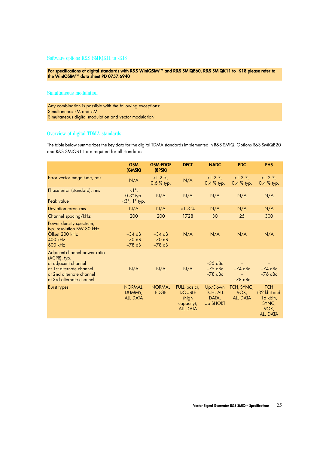**For specifications of digital standards with R&S WinIQSIM™ and R&S SMIQB60, R&S SMIQK11 to -K18 please refer to the WinIQSIM™ data sheet PD 0757.6940** 

#### Simultaneous modulation

Any combination is possible with the following exceptions: Simultaneous FM and ϕM Simultaneous digital modulation and vector modulation

#### Overview of digital TDMA standards

The table below summarizes the key data for the digital TDMA standards implemented in R&S SMIQ. Options R&S SMIQB20 and R&S SMIQB11 are required for all standards.

|                                                                                                                                                         | <b>GSM</b><br>(GMSK)                                      | <b>GSM-EDGE</b><br>(8PSK)        | <b>DECT</b>                                                              | <b>NADC</b>                                            | <b>PDC</b>                            | <b>PHS</b>                                                                  |
|---------------------------------------------------------------------------------------------------------------------------------------------------------|-----------------------------------------------------------|----------------------------------|--------------------------------------------------------------------------|--------------------------------------------------------|---------------------------------------|-----------------------------------------------------------------------------|
| Error vector magnitude, rms                                                                                                                             | N/A                                                       | $<1.2\%$ ,<br>$0.6 %$ typ.       | N/A                                                                      | $<1.2\%$ ,<br>0.4 % typ.                               | $<1.2\%$ ,<br>$0.4 \%$ typ.           | $<1.2\%$ ,<br>0.4 % typ.                                                    |
| Phase error (standard), rms<br>Peak value                                                                                                               | $\langle 1^\circ,$<br>$0.3^\circ$ typ.<br>$<$ 3°, 1° typ. | N/A                              | N/A                                                                      | N/A                                                    | N/A                                   | N/A                                                                         |
| Deviation error, rms                                                                                                                                    | N/A                                                       | N/A                              | <1.3%                                                                    | N/A                                                    | N/A                                   | N/A                                                                         |
| Channel spacing/kHz                                                                                                                                     | 200                                                       | 200                              | 1728                                                                     | 30                                                     | 25                                    | 300                                                                         |
| Power density spectrum,<br>typ. resolution BW 30 kHz<br>Offset 200 kHz<br>$400$ kHz<br>600 kHz                                                          | $-34$ dB<br>$-70$ dB<br>$-78$ dB                          | $-34 dB$<br>$-70$ dB<br>$-78$ dB | N/A                                                                      | N/A                                                    | N/A                                   | N/A                                                                         |
| Adjacent-channel power ratio<br>(ACPR), typ.<br>at adjacent channel<br>at 1st alternate channel<br>at 2nd alternate channel<br>at 3rd alternate channel | N/A                                                       | N/A                              | N/A                                                                      | $-35$ dBc<br>$-75$ dBc<br>$-78$ dBc                    | $-74$ dBc<br>$-78$ dBc                | $-74$ dBc<br>$-76$ dBc                                                      |
| <b>Burst types</b>                                                                                                                                      | NORMAL,<br>DUMMY,<br><b>ALL DATA</b>                      | <b>NORMAL</b><br><b>EDGE</b>     | FULL (basic),<br><b>DOUBLE</b><br>(high<br>capacity),<br><b>ALL DATA</b> | Up/Down<br><b>TCH, ALL</b><br>DATA,<br><b>Up SHORT</b> | TCH, SYNC,<br>VOX,<br><b>ALL DATA</b> | <b>TCH</b><br>(32 kbit and<br>16 kbit),<br>SYNC,<br>VOX,<br><b>ALL DATA</b> |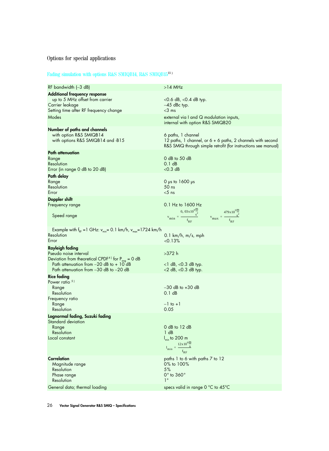# Fading simulation with options R&S SMIQB14, R&S SMIQB1513 )

| RF bandwidth $(-3$ dB)                                                                                                                                                                                            | $>14$ MHz                                                                                                                                                                                            |
|-------------------------------------------------------------------------------------------------------------------------------------------------------------------------------------------------------------------|------------------------------------------------------------------------------------------------------------------------------------------------------------------------------------------------------|
| <b>Additional frequency response</b><br>up to 5 MHz offset from carrier<br>Carrier leakage<br>Setting time after RF frequency change<br>Modes                                                                     | $<$ 0.6 dB, $<$ 0.4 dB typ.<br>$-45$ dBc typ.<br>$<$ 3 ms<br>external via I and Q modulation inputs,<br>internal with option R&S SMIQB20                                                             |
| Number of paths and channels<br>with option R&S SMIQB14<br>with options R&S SMIQB14 and -B15                                                                                                                      | 6 paths, 1 channel<br>12 paths, 1 channel, or 6 + 6 paths, 2 channels with second<br>R&S SMIQ through simple retrofit (for instructions see manual)                                                  |
| <b>Path attenuation</b>                                                                                                                                                                                           |                                                                                                                                                                                                      |
| Range<br>Resolution<br>Error (in range 0 dB to 20 dB)                                                                                                                                                             | 0 dB to 50 dB<br>0.1 dB<br>$<$ 0.3 dB                                                                                                                                                                |
| Path delay<br>Range<br>Resolution<br>Error                                                                                                                                                                        | $0$ µs to $1600$ µs<br>50 ns<br>$<$ 5 ns                                                                                                                                                             |
| Doppler shift                                                                                                                                                                                                     |                                                                                                                                                                                                      |
| Frequency range<br>Speed range                                                                                                                                                                                    | 0.1 Hz to 1600 Hz<br>$v_{\text{min}} = \frac{0, 03 \times 10^{9} \frac{\text{m}}{\text{s}^2}}{f_{\text{RF}}}$ $v_{\text{max}} = \frac{479 \times 10^{9} \frac{\text{m}}{\text{s}^2}}{f_{\text{RF}}}$ |
| Example with $f_{RF} = 1$ GHz: $v_{min} = 0.1$ km/h, $v_{max} = 1724$ km/h<br>Resolution<br>Error                                                                                                                 | $0.1$ km/h, m/s, mph<br>< 0.13%                                                                                                                                                                      |
| <b>Rayleigh fading</b><br>Pseudo noise interval<br>Deviation from theoretical CPDF <sup>4)</sup> for $P_{avg} = 0$ dB<br>Path attenuation from $-20$ dB to $+10$ dB<br>Path attenuation from $-30$ dB to $-20$ dB | $>372$ h<br>$<$ 1 dB, $<$ 0.3 dB typ.<br>$<$ 2 dB, $<$ 0.3 dB typ.                                                                                                                                   |
| <b>Rice fading</b><br>Power ratio $51$<br>Range<br>Resolution<br>Frequency ratio<br>Kange<br>Resolution                                                                                                           | $-30$ dB to $+30$ dB<br>0.1 dB<br>$-1$ to $+1$<br>0.05                                                                                                                                               |
| Lognormal fading, Suzuki fading<br>Standard deviation<br>Range<br>Resolution<br>Local constant                                                                                                                    | $0$ dB to 12 dB<br>1 dB<br>$I_{\text{min}}$ to 200 m<br>$\label{eq:1} \mathbf{l}_{\text{min}} = \frac{12 \times 10^9 \frac{\text{m}}{\text{s}}}{\mathbf{f}_{\text{RF}}}$                             |
| <b>Correlation</b><br>Magnitude range<br>Resolution<br>Phase range<br>Resolution                                                                                                                                  | paths 1 to 6 with paths 7 to 12<br>0% to 100%<br>5%<br>$0^\circ$ to $360^\circ$<br>$1^{\circ}$                                                                                                       |
| General data; thermal loading                                                                                                                                                                                     | specs valid in range 0 °C to 45°C                                                                                                                                                                    |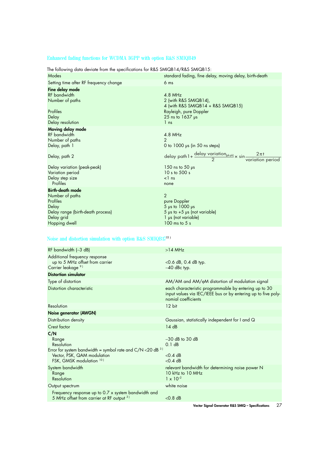# Enhanced fading functions for WCDMA 3GPP with option R&S SMIQB49

| Modes                                                                                                                                                                    | standard fading, fine delay, moving delay, birth-death                                                                                                                                                                                           |
|--------------------------------------------------------------------------------------------------------------------------------------------------------------------------|--------------------------------------------------------------------------------------------------------------------------------------------------------------------------------------------------------------------------------------------------|
| Setting time after RF frequency change                                                                                                                                   | 6 <sub>ms</sub>                                                                                                                                                                                                                                  |
| Fine delay mode<br>RF bandwidth<br>Number of paths<br>Profiles<br>Delay<br>Delay resolution                                                                              | $4.8$ MHz<br>2 (with R&S SMIQB14),<br>4 (with R&S SMIQB14 + R&S SMIQB15)<br>Rayleigh, pure Doppler<br>$25$ ns to $1637$ $\mu$ s<br>1 <sub>ns</sub>                                                                                               |
| Moving delay mode<br>RF bandwidth<br>Number of paths<br>Delay, path 1<br>Delay, path 2<br>Delay variation (peak-peak)<br>Variation period<br>Delay step size<br>Profiles | $4.8$ MHz<br>$\mathfrak{D}$<br>0 to $1000 \mu s$ (in 50 ns steps)<br>delay path 1 + $\frac{\text{delay variation}_{(pkpk)}}{2} \times \sin \frac{2\pi t}{\text{variation period}}$<br>150 ns to 50 $\mu$ s<br>10 s to 500 s<br>$\leq$ ns<br>none |
| <b>Birth-death mode</b><br>Number of paths<br>Profiles<br>Delay<br>Delay range (birth-death process)<br>Delay grid<br>Hopping dwell                                      | $\overline{2}$<br>pure Doppler<br>$5 \mu s$ to $1000 \mu s$<br>5 $\mu$ s to +5 $\mu$ s (not variable)<br>1 µs (not variable)<br>$100$ ms to 5 s                                                                                                  |

The following data deviate from the specifications for R&S SMIQB14/R&S SMIQB15:

# Noise and distortion simulation with option R&S SMIQB1713 )

| RF bandwidth (-3 dB)                                                                                                                 | $>14$ MHz                                                                                                                                     |
|--------------------------------------------------------------------------------------------------------------------------------------|-----------------------------------------------------------------------------------------------------------------------------------------------|
| Additional frequency response<br>up to 5 MHz offset from carrier<br>Carrier leakage <sup>91</sup>                                    | $<$ 0.6 dB, 0.4 dB typ.<br>$-40$ dBc typ.                                                                                                     |
| <b>Distortion simulator</b>                                                                                                          |                                                                                                                                               |
| Type of distortion                                                                                                                   | AM/AM and AM/ <sub>0</sub> M distortion of modulation signal                                                                                  |
| Distortion characteristic                                                                                                            | each characteristic programmable by entering up to 30<br>input values via IEC/IEEE bus or by entering up to five poly-<br>nomial coefficients |
| Resolution                                                                                                                           | 12 bit                                                                                                                                        |
| Noise generator (AWGN)                                                                                                               |                                                                                                                                               |
| Distribution density                                                                                                                 | Gaussian, statistically independent for I and Q                                                                                               |
| Crest factor                                                                                                                         | 14dB                                                                                                                                          |
| C/N<br>Range<br>Resolution<br>Error for system bandwidth = symbol rate and $C/N < 20$ dB <sup>3</sup><br>Vector, PSK, QAM modulation | $-30$ dB to $30$ dB<br>0.1 dB<br>$<$ 0.4 dB                                                                                                   |
| FSK, GMSK modulation 101                                                                                                             | $<$ 0.4 dB                                                                                                                                    |
| System bandwidth<br>Range<br>Resolution                                                                                              | relevant bandwidth for determining noise power N<br>$10$ kHz to $10$ MHz<br>$1 \times 10^{-2}$                                                |
| Output spectrum                                                                                                                      | white noise                                                                                                                                   |
| Frequency response up to 0.7 x system bandwidth and<br>5 MHz offset from carrier at RF output 31                                     | $< 0.8$ dB                                                                                                                                    |
|                                                                                                                                      |                                                                                                                                               |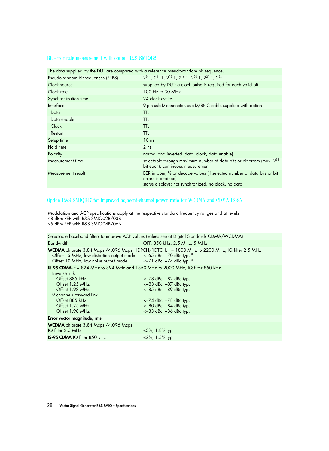#### Bit error rate measurement with option R&S SMIQB21

| The data supplied by the DOT are compared with a reference pseudo-random bill sequence.                                                               |
|-------------------------------------------------------------------------------------------------------------------------------------------------------|
| $2^{9}$ -1, $2^{11}$ -1, $2^{15}$ -1, $2^{16}$ -1, $2^{20}$ -1, $2^{21}$ -1, $2^{23}$ -1                                                              |
| supplied by DUT; a clock pulse is required for each valid bit                                                                                         |
| 100 Hz to 30 MHz                                                                                                                                      |
| 24 clock cycles                                                                                                                                       |
| 9-pin sub-D connector, sub-D/BNC cable supplied with option                                                                                           |
| ttl.                                                                                                                                                  |
| ttl                                                                                                                                                   |
| ttl                                                                                                                                                   |
| ttl                                                                                                                                                   |
| 10 <sub>ns</sub>                                                                                                                                      |
| 2 <sub>ns</sub>                                                                                                                                       |
| normal and inverted (data, clock, data enable)                                                                                                        |
| selectable through maximum number of data bits or bit errors (max. 2 <sup>31</sup> )<br>bit each), continuous measurement                             |
| BER in ppm, % or decade values (if selected number of data bits or bit<br>errors is attained)<br>status displays: not synchronized, no clock, no data |
|                                                                                                                                                       |

The data supplied by the DUT are compared with a reference pseudo-random bit sequence.

## Option R&S SMIQB47 for improved adjacent-channel power ratio for WCDMA and CDMA IS-95

|                                                                                                                                                         | Selectable baseband filters to improve ACP values (values see at Digital Standards CDMA/WCDMA)                                                                                   |
|---------------------------------------------------------------------------------------------------------------------------------------------------------|----------------------------------------------------------------------------------------------------------------------------------------------------------------------------------|
| <b>Bandwidth</b>                                                                                                                                        | OFF, 850 kHz, 2.5 MHz, 5 MHz                                                                                                                                                     |
| Offset 5 MHz, low distortion output mode $<-65$ dBc, $-70$ dBc typ. $81$<br>Offset 10 MHz, low noise output mode $<-71$ dBc, $-74$ dBc typ. $81$        | WCDMA chiprate 3.84 Mcps /4.096 Mcps, 1DPCH/1DTCH, f = 1800 MHz to 2200 MHz, IQ filter 2.5 MHz                                                                                   |
| <b>IS-95 CDMA, <math>f = 824</math></b> MHz to 894 MHz and 1850 MHz to 2000 MHz, IQ filter 850 kHz                                                      |                                                                                                                                                                                  |
| Reverse link<br>Offset 885 kHz<br>Offset 1.25 MHz<br>Offset 1.98 MHz<br>9 channels forward link<br>Offset 885 kHz<br>Offset 1.25 MHz<br>Offset 1.98 MHz | $<-78$ dBc, $-82$ dBc typ.<br>$<-83$ dBc, $-87$ dBc typ.<br>$<-85$ dBc, $-89$ dBc typ.<br>$<-74$ dBc, $-78$ dBc typ.<br>$<-80$ dBc, $-84$ dBc typ.<br>$<-83$ dBc, $-86$ dBc typ. |
| Error vector magnitude, rms                                                                                                                             |                                                                                                                                                                                  |
| WCDMA chiprate 3.84 Mcps / 4.096 Mcps,<br>$IQ$ filter 2.5 MHz                                                                                           | $<$ 3%, 1.8% typ.                                                                                                                                                                |
| <b>IS-95 CDMA IQ filter 850 kHz</b>                                                                                                                     | $2\%$ , 1.3% typ.                                                                                                                                                                |
|                                                                                                                                                         |                                                                                                                                                                                  |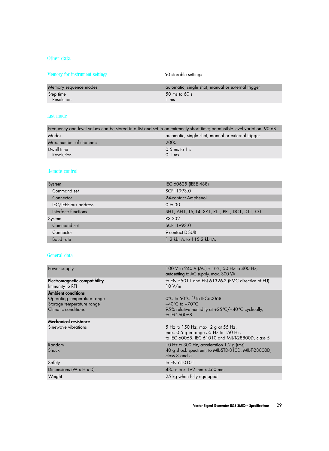# Other data

| Memory for instrument settings | 50 storable settings                               |
|--------------------------------|----------------------------------------------------|
| Memory sequence modes          | automatic, single shot, manual or external trigger |
| Step time                      | $50 \text{ ms}$ to 60 s                            |
| Resolution                     | l ms                                               |

# List mode

| Frequency and level values can be stored in a list and set in an extremely short time; permissible level variation: 90 dB |  |  |  |  |
|---------------------------------------------------------------------------------------------------------------------------|--|--|--|--|
| automatic, single shot, manual or external trigger                                                                        |  |  |  |  |
| 2000                                                                                                                      |  |  |  |  |
| $0.5$ ms to $1$ s<br>$0.1$ ms                                                                                             |  |  |  |  |
|                                                                                                                           |  |  |  |  |

## Remote control

| System               | IEC 60625 (IEEE 488)                          |
|----------------------|-----------------------------------------------|
| Command set          | SCPI 1993.0                                   |
| Connector            | 24-contact Amphenol                           |
| IEC/IEEE-bus address | $0$ to $30$                                   |
| Interface functions  | SH1, AH1, T6, L4, SR1, RL1, PP1, DC1, DT1, CO |
| System               | RS 232                                        |
| Command set          | <b>SCPI 1993.0</b>                            |
| Connector            | 9-contact D-SUB                               |
| Baud rate            | 1.2 kbit/s to 115.2 kbit/s                    |

# General data

| 100 V to 240 V (AC) ± 10%, 50 Hz to 400 Hz,<br>autosetting to AC supply, max. 300 VA                                            |
|---------------------------------------------------------------------------------------------------------------------------------|
| to EN 55011 and EN 61326-2 (EMC directive of EU)<br>10 V/m                                                                      |
|                                                                                                                                 |
| $0^{\circ}$ C to 50 $^{\circ}$ C $^{\circ}$ to IEC60068                                                                         |
| $-40^{\circ}$ C to $+70^{\circ}$ C                                                                                              |
| 95% relative humidity at +25°C/+40°C cyclically,<br>to IEC 60068                                                                |
|                                                                                                                                 |
| 5 Hz to 150 Hz, max. 2 g at 55 Hz,<br>max. 0.5 g in range 55 Hz to 150 Hz,<br>to IEC 60068, IEC 61010 and MIL-T-28800D, class 5 |
| 10 Hz to 300 Hz, acceleration 1.2 g (rms)                                                                                       |
| 40 g shock spectrum, to MIL-STD-810D, MIL-T-28800D,<br>class 3 and 5                                                            |
| to EN 61010-1                                                                                                                   |
| 435 mm x 192 mm x 460 mm                                                                                                        |
| 25 kg when fully equipped                                                                                                       |
|                                                                                                                                 |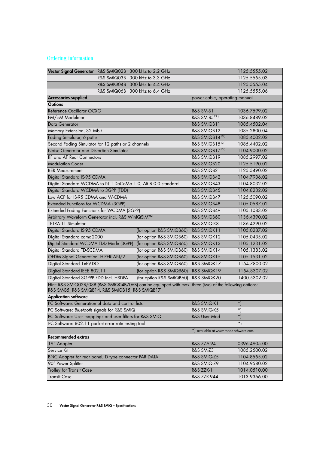# Ordering information

| Vector Signal Generator R&S SMIQ02B 300 kHz to 2.2 GHz                                                                                                      |                                    | 1125.5555.02 |  |  |
|-------------------------------------------------------------------------------------------------------------------------------------------------------------|------------------------------------|--------------|--|--|
| R&S SMIQ03B 300 kHz to 3.3 GHz                                                                                                                              |                                    | 1125.5555.03 |  |  |
| R&S SMIQ04B 300 kHz to 4.4 GHz                                                                                                                              |                                    | 1125.5555.04 |  |  |
| R&S SMIQ06B 300 kHz to 6.4 GHz                                                                                                                              |                                    | 1125.5555.06 |  |  |
| <b>Accessories supplied</b>                                                                                                                                 | power cable, operating manual      |              |  |  |
| <b>Options</b>                                                                                                                                              |                                    |              |  |  |
| Reference Oscillator OCXO                                                                                                                                   | <b>R&amp;S SM-B1</b>               | 1036.7599.02 |  |  |
| FM/ <sub>0</sub> M Modulator                                                                                                                                | R&S SM-B5131                       | 1036.8489.02 |  |  |
| Data Generator                                                                                                                                              | R&S SMIQB11                        | 1085.4502.04 |  |  |
| Memory Extension, 32 Mbit                                                                                                                                   | R&S SMIQB12                        | 1085.2800.04 |  |  |
| Fading Simulator, 6 paths                                                                                                                                   | R&S SMIQB14 <sup>131</sup>         | 1085.4002.02 |  |  |
| Second Fading Simulator for 12 paths or 2 channels                                                                                                          | R&S SMIQB15 <sup>131</sup>         | 1085.4402.02 |  |  |
| Noise Generator and Distortion Simulator                                                                                                                    | R&S SMIQB17 <sup>131</sup>         | 1104.9000.02 |  |  |
| <b>RF and AF Rear Connectors</b>                                                                                                                            | R&S SMIQB19                        | 1085.2997.02 |  |  |
| <b>Modulation Coder</b>                                                                                                                                     | R&S SMIQB20                        | 1125.5190.02 |  |  |
| <b>BER Measurement</b>                                                                                                                                      | R&S SMIQB21                        | 1125.5490.02 |  |  |
| Digital Standard IS-95 CDMA                                                                                                                                 | R&S SMIQB42                        | 1104.7936.02 |  |  |
| Digital Standard WCDMA to NTT DoCoMo 1.0, ARIB 0.0 standard                                                                                                 | R&S SMIQB43                        | 1104.8032.02 |  |  |
| Digital Standard WCDMA to 3GPP (FDD)                                                                                                                        | R&S SMIQB45                        | 1104.8232.02 |  |  |
| Low ACP for IS-95 CDMA and W-CDMA                                                                                                                           | R&S SMIQB47                        | 1125.5090.02 |  |  |
| Extended Functions for WCDMA (3GPP)                                                                                                                         | R&S SMIQB48                        | 1105.0587.02 |  |  |
| Extended Fading Functions for WCDMA (3GPP)                                                                                                                  | R&S SMIQB49                        | 1105.1083.02 |  |  |
| Arbitrary Waveform Generator incl. R&S WinIQSIM™                                                                                                            | R&S SMIQB60                        | 1136.4390.02 |  |  |
| <b>TETRA T1 Simulator</b>                                                                                                                                   | R&S SMIQ-K8                        | 1136.4290.02 |  |  |
| Digital Standard IS-95 CDMA<br>(for option R&S SMIQB60)                                                                                                     | R&S SMIQK11                        | 1105.0287.02 |  |  |
| Digital Standard cdma 2000<br>(for option R&S SMIQB60)                                                                                                      | R&S SMIQK12                        | 1105.0435.02 |  |  |
| Digital Standard WCDMA TDD Mode (3GPP)<br>(for option R&S SMIQB60)                                                                                          | R&S SMIQK13                        | 1105.1231.02 |  |  |
| Digital Standard TD-SCDMA<br>(for option R&S SMIQB60)                                                                                                       | R&S SMIQK14                        | 1105.1383.02 |  |  |
| OFDM Signal Generation, HIPERLAN/2<br>(for option R&S SMIQB60)                                                                                              | R&S SMIQK15                        | 1105.1531.02 |  |  |
| Digital Standard 1xEV-DO<br>(for option R&S SMIQB60)                                                                                                        | R&S SMIQK17                        | 1154.7800.02 |  |  |
| Digital Standard IEEE 802.11<br>(for option R&S SMIQB60)                                                                                                    | R&S SMIQK19                        | 1154.8307.02 |  |  |
| Digital Standard 3GPPP FDD incl. HSDPA<br>(for option R&S SMIQB60)                                                                                          | R&S SMIQK20                        | 1400.5302.02 |  |  |
| Hint: R&S SMIQ02B/03B (R&S SMIQ04B/06B) can be equipped with max. three (two) of the following options:<br>R&S SM-B5, R&S SMIQB14, R&S SMIQB15, R&S SMIQB17 |                                    |              |  |  |
| <b>Application software</b>                                                                                                                                 |                                    |              |  |  |
| PC Software: Generation of data and control lists                                                                                                           | R&S SMIQ-K1                        | *)           |  |  |
| PC Software: Bluetooth signals for R&S SMIQ                                                                                                                 | R&S SMIQ-K5                        | $\star$      |  |  |
| PC Software: User mappings and user filters for R&S SMIQ                                                                                                    | R&S User Mod                       | $\star$      |  |  |
| PC Software: 802.11 packet error rate testing tool                                                                                                          |                                    | $\star$      |  |  |
|                                                                                                                                                             | available at www.rohde-schwarz.com |              |  |  |
| <b>Recommended extras</b>                                                                                                                                   |                                    |              |  |  |
| 19" Adapter                                                                                                                                                 | R&S ZZA-94                         | 0396.4905.00 |  |  |
| Service Kit                                                                                                                                                 | R&S SM-Z3                          | 1085.2500.02 |  |  |
| BNC Adapter for rear panel, D type connector PAR DATA                                                                                                       | R&S SMIQ-Z5                        | 1104.8555.02 |  |  |
| 90° Power Splitter                                                                                                                                          | R&S SMIQ-Z9                        | 1104.9580.02 |  |  |
| <b>Trolley for Transit Case</b>                                                                                                                             | R&S ZZK-1                          | 1014.0510.00 |  |  |
| <b>Transit Case</b>                                                                                                                                         | R&S ZZK-944                        | 1013.9366.00 |  |  |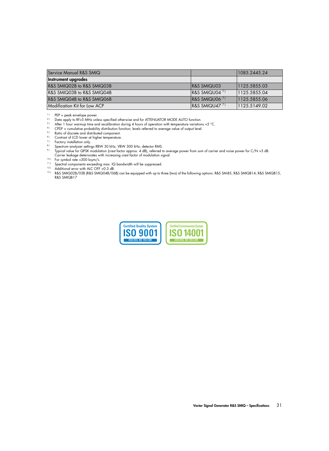| Service Manual R&S SMIQ      |                                   | 1085.2445.24 |
|------------------------------|-----------------------------------|--------------|
| Instrument upgrades          |                                   |              |
| R&S SMIQ02B to R&S SMIQ03B   | <b>IR&amp;S SMIQU03</b>           | 1125.5855.03 |
| R&S SMIQ03B to R&S SMIQ04B   | $\sqrt{RAS}$ SMIQU04 $^{7}$       | 1125.5855.04 |
| R&S SMIQ04B to R&S SMIQ06B   | $\sqrt{RAS}$ SMIQU06 <sup>7</sup> | 1125.5855.06 |
| Modification Kit for Low ACP | $\sqrt{RAS}$ SMIQU47 <sup>7</sup> | 1125.5149.02 |

 $11$  PEP = peak envelope power.

2) Data apply to RF≥5 MHz unless specified otherwise and for ATTENUATOR MODE AUTO function.<br><sup>3)</sup> After 1 hour warmup time and recalibration during 4 hours of operation with temperature variation <sup>3)</sup> After 1 hour warmup time and recalibration during 4 hours of operation with temperature variations <5 °C.<br><sup>4</sup>) CPDE – cumulative probability distribution function: lovels referred to gyarga value of output lovel

CPDF = cumulative probability distribution function; levels referred to average value of output level.

 $5$  ) Ratio of discrete and distributed component.

 $\frac{6}{7}$  Contrast of LCD lower at higher temperature.

 $\frac{7}{8}$  Factory installation only.<br> $\frac{8}{8}$  Spectrum anglyzer setting

Spectrum analyzer settings RBW 30 kHz, VBW 300 kHz, detector RMS.

9 ) Typical value for QPSK modulation (crest factor approx. 4 dB), referred to average power from sum of carrier and noise power for C/N >5 dB. Carrier leakage deteriorates with increasing crest factor of modulation signal.

<sup>10)</sup> For symbol rate <300 ksym/s.

11) Spectral components exceeding max. IQ bandwidth will be suppressed.

12) Additional error with ALC OFF <0.3 dB.

13 ) R&S SMIQ02B/03B (R&S SMIQ04B/06B) can be equipped with up to three (two) of the following options: R&S SM-B5, R&S SMIQB14, R&S SMIQB15, R&S SMIQB17